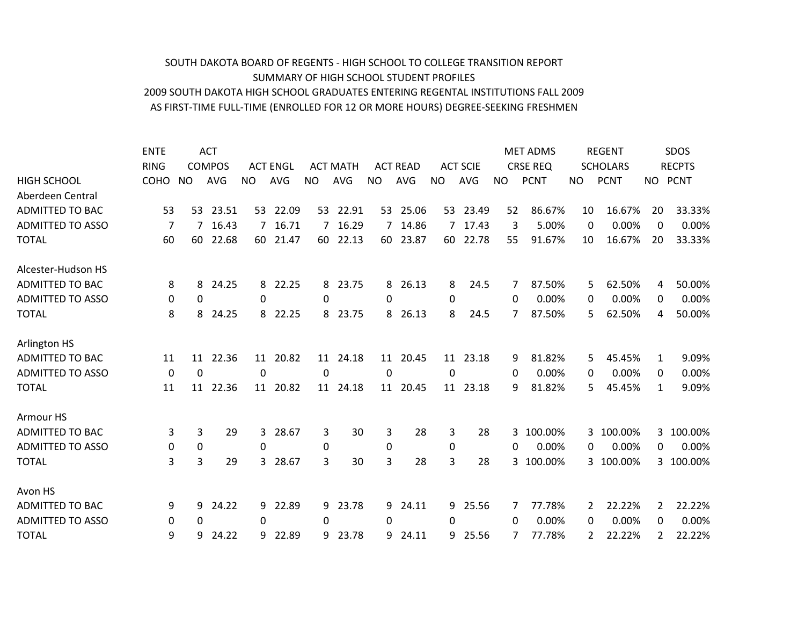## AS FIRST-TIME FULL-TIME (ENROLLED FOR 12 OR MORE HOURS) DEGREE-SEEKING FRESHMEN 2009 SOUTH DAKOTA HIGH SCHOOL GRADUATES ENTERING REGENTAL INSTITUTIONS FALL 2009 SUMMARY OF HIGH SCHOOL STUDENT PROFILES SOUTH DAKOTA BOARD OF REGENTS - HIGH SCHOOL TO COLLEGE TRANSITION REPORT

|                         | <b>ENTE</b>    |           | <b>ACT</b>    |     |                 |           |                 |           |                 |           |                 |           | <b>MET ADMS</b> |           | <b>REGENT</b>   |          | SDOS          |
|-------------------------|----------------|-----------|---------------|-----|-----------------|-----------|-----------------|-----------|-----------------|-----------|-----------------|-----------|-----------------|-----------|-----------------|----------|---------------|
|                         | <b>RING</b>    |           | <b>COMPOS</b> |     | <b>ACT ENGL</b> |           | <b>ACT MATH</b> |           | <b>ACT READ</b> |           | <b>ACT SCIE</b> |           | <b>CRSE REQ</b> |           | <b>SCHOLARS</b> |          | <b>RECPTS</b> |
| <b>HIGH SCHOOL</b>      | <b>COHO</b>    | <b>NO</b> | <b>AVG</b>    | NO. | <b>AVG</b>      | <b>NO</b> | <b>AVG</b>      | <b>NO</b> | <b>AVG</b>      | <b>NO</b> | <b>AVG</b>      | <b>NO</b> | <b>PCNT</b>     | <b>NO</b> | <b>PCNT</b>     | NO.      | <b>PCNT</b>   |
| Aberdeen Central        |                |           |               |     |                 |           |                 |           |                 |           |                 |           |                 |           |                 |          |               |
| <b>ADMITTED TO BAC</b>  | 53             | 53        | 23.51         |     | 53 22.09        | 53        | 22.91           |           | 53 25.06        | 53        | 23.49           | 52        | 86.67%          | 10        | 16.67%          | 20       | 33.33%        |
| <b>ADMITTED TO ASSO</b> | $\overline{7}$ | 7         | 16.43         | 7   | 16.71           | 7         | 16.29           | 7         | 14.86           | 7         | 17.43           | 3         | 5.00%           | $\Omega$  | 0.00%           | $\Omega$ | 0.00%         |
| <b>TOTAL</b>            | 60             | 60        | 22.68         | 60  | 21.47           | 60        | 22.13           | 60        | 23.87           | 60        | 22.78           | 55        | 91.67%          | 10        | 16.67%          | 20       | 33.33%        |
| Alcester-Hudson HS      |                |           |               |     |                 |           |                 |           |                 |           |                 |           |                 |           |                 |          |               |
| <b>ADMITTED TO BAC</b>  | 8              | 8         | 24.25         | 8   | 22.25           | 8         | 23.75           | 8         | 26.13           | 8         | 24.5            | 7         | 87.50%          | 5         | 62.50%          | 4        | 50.00%        |
| <b>ADMITTED TO ASSO</b> | 0              | 0         |               | 0   |                 | 0         |                 | 0         |                 | 0         |                 | 0         | 0.00%           | 0         | 0.00%           | 0        | 0.00%         |
| <b>TOTAL</b>            | 8              | 8         | 24.25         | 8   | 22.25           | 8         | 23.75           | 8         | 26.13           | 8         | 24.5            | 7         | 87.50%          | 5         | 62.50%          | 4        | 50.00%        |
| Arlington HS            |                |           |               |     |                 |           |                 |           |                 |           |                 |           |                 |           |                 |          |               |
| <b>ADMITTED TO BAC</b>  | 11             | 11        | 22.36         | 11  | 20.82           | 11        | 24.18           | 11        | 20.45           | 11        | 23.18           | 9         | 81.82%          | 5         | 45.45%          | 1        | 9.09%         |
| <b>ADMITTED TO ASSO</b> | 0              | 0         |               | 0   |                 | 0         |                 | $\Omega$  |                 | 0         |                 | 0         | 0.00%           | 0         | 0.00%           | 0        | 0.00%         |
| <b>TOTAL</b>            | 11             | 11        | 22.36         |     | 11 20.82        |           | 11 24.18        | 11        | 20.45           | 11        | 23.18           | 9         | 81.82%          | 5         | 45.45%          | 1        | 9.09%         |
| Armour HS               |                |           |               |     |                 |           |                 |           |                 |           |                 |           |                 |           |                 |          |               |
| <b>ADMITTED TO BAC</b>  | 3              | 3         | 29            | 3   | 28.67           | 3         | 30              | 3         | 28              | 3         | 28              | 3         | 100.00%         | 3         | 100.00%         | 3        | 100.00%       |
| <b>ADMITTED TO ASSO</b> | 0              | 0         |               | 0   |                 | 0         |                 | 0         |                 | 0         |                 | 0         | 0.00%           | 0         | 0.00%           | 0        | 0.00%         |
| <b>TOTAL</b>            | 3              | 3         | 29            | 3   | 28.67           | 3         | 30              | 3         | 28              | 3         | 28              | 3         | 100.00%         | 3         | 100.00%         |          | 3 100.00%     |
| Avon HS                 |                |           |               |     |                 |           |                 |           |                 |           |                 |           |                 |           |                 |          |               |
| <b>ADMITTED TO BAC</b>  | 9              | 9         | 24.22         | 9   | 22.89           | 9.        | 23.78           | 9         | 24.11           | 9         | 25.56           | 7         | 77.78%          | 2         | 22.22%          | 2        | 22.22%        |
| <b>ADMITTED TO ASSO</b> | 0              | 0         |               | 0   |                 | 0         |                 | 0         |                 | 0         |                 | 0         | 0.00%           | 0         | 0.00%           | 0        | 0.00%         |
| <b>TOTAL</b>            | 9              | 9         | 24.22         | 9   | 22.89           | 9         | 23.78           | 9         | 24.11           | 9         | 25.56           |           | 77.78%          | 2         | 22.22%          | 2        | 22.22%        |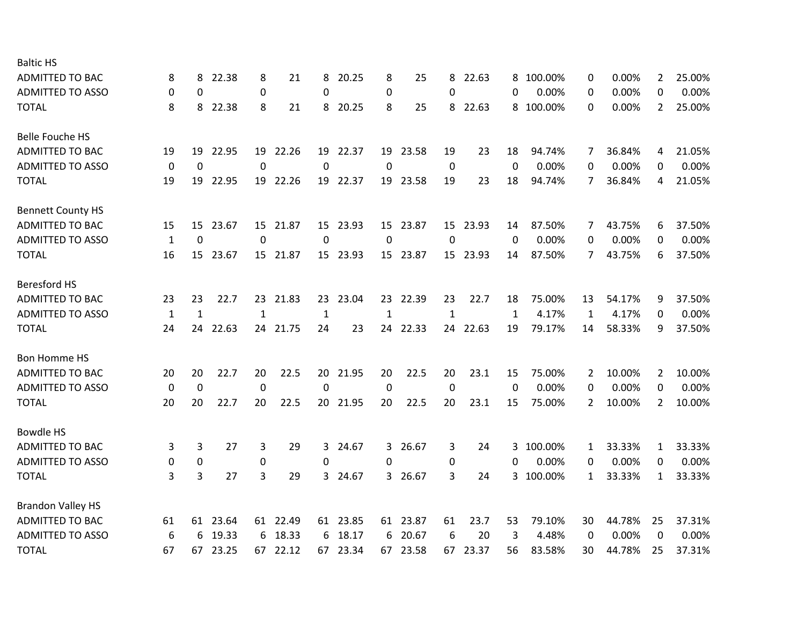| <b>Baltic HS</b>         |             |          |          |                  |          |          |          |           |          |             |          |              |         |    |        |                |        |
|--------------------------|-------------|----------|----------|------------------|----------|----------|----------|-----------|----------|-------------|----------|--------------|---------|----|--------|----------------|--------|
| <b>ADMITTED TO BAC</b>   | 8           | 8        | 22.38    | 8                | 21       | 8        | 20.25    | 8         | 25       | 8           | 22.63    | 8            | 100.00% | 0  | 0.00%  | 2              | 25.00% |
| <b>ADMITTED TO ASSO</b>  | 0           | 0        |          | $\pmb{0}$        |          | 0        |          | $\pmb{0}$ |          | $\Omega$    |          | 0            | 0.00%   | 0  | 0.00%  | 0              | 0.00%  |
| <b>TOTAL</b>             | 8           | 8        | 22.38    | 8                | 21       | 8        | 20.25    | 8         | 25       | 8           | 22.63    | 8            | 100.00% | 0  | 0.00%  | $\overline{2}$ | 25.00% |
| <b>Belle Fouche HS</b>   |             |          |          |                  |          |          |          |           |          |             |          |              |         |    |        |                |        |
| <b>ADMITTED TO BAC</b>   | 19          | 19       | 22.95    |                  | 19 22.26 | 19       | 22.37    | 19        | 23.58    | 19          | 23       | 18           | 94.74%  | 7  | 36.84% | 4              | 21.05% |
| <b>ADMITTED TO ASSO</b>  | 0           | 0        |          | $\pmb{0}$        |          | 0        |          | 0         |          | 0           |          | 0            | 0.00%   | 0  | 0.00%  | 0              | 0.00%  |
| <b>TOTAL</b>             | 19          | 19       | 22.95    |                  | 19 22.26 | 19       | 22.37    | 19        | 23.58    | 19          | 23       | 18           | 94.74%  | 7  | 36.84% | 4              | 21.05% |
| <b>Bennett County HS</b> |             |          |          |                  |          |          |          |           |          |             |          |              |         |    |        |                |        |
| <b>ADMITTED TO BAC</b>   | 15          | 15       | 23.67    |                  | 15 21.87 | 15       | 23.93    | 15        | 23.87    | 15          | 23.93    | 14           | 87.50%  | 7  | 43.75% | 6              | 37.50% |
| <b>ADMITTED TO ASSO</b>  | 1           | $\Omega$ |          | 0                |          | $\Omega$ |          | 0         |          | $\mathbf 0$ |          | 0            | 0.00%   | 0  | 0.00%  | 0              | 0.00%  |
| <b>TOTAL</b>             | 16          |          | 15 23.67 |                  | 15 21.87 |          | 15 23.93 |           | 15 23.87 |             | 15 23.93 | 14           | 87.50%  | 7  | 43.75% | 6              | 37.50% |
| <b>Beresford HS</b>      |             |          |          |                  |          |          |          |           |          |             |          |              |         |    |        |                |        |
| <b>ADMITTED TO BAC</b>   | 23          | 23       | 22.7     |                  | 23 21.83 | 23       | 23.04    | 23        | 22.39    | 23          | 22.7     | 18           | 75.00%  | 13 | 54.17% | 9              | 37.50% |
| <b>ADMITTED TO ASSO</b>  | 1           | 1        |          | 1                |          | 1        |          | 1         |          | 1           |          | $\mathbf{1}$ | 4.17%   | 1  | 4.17%  | 0              | 0.00%  |
| <b>TOTAL</b>             | 24          | 24       | 22.63    |                  | 24 21.75 | 24       | 23       | 24        | 22.33    | 24          | 22.63    | 19           | 79.17%  | 14 | 58.33% | 9              | 37.50% |
| Bon Homme HS             |             |          |          |                  |          |          |          |           |          |             |          |              |         |    |        |                |        |
| <b>ADMITTED TO BAC</b>   | 20          | 20       | 22.7     | 20               | 22.5     | 20       | 21.95    | 20        | 22.5     | 20          | 23.1     | 15           | 75.00%  | 2  | 10.00% | 2              | 10.00% |
| <b>ADMITTED TO ASSO</b>  | 0           | 0        |          | $\mathbf 0$      |          | 0        |          | 0         |          | $\mathbf 0$ |          | $\Omega$     | 0.00%   | 0  | 0.00%  | 0              | 0.00%  |
| <b>TOTAL</b>             | 20          | 20       | 22.7     | 20               | 22.5     | 20       | 21.95    | 20        | 22.5     | 20          | 23.1     | 15           | 75.00%  | 2  | 10.00% | $\mathbf{2}$   | 10.00% |
| <b>Bowdle HS</b>         |             |          |          |                  |          |          |          |           |          |             |          |              |         |    |        |                |        |
| ADMITTED TO BAC          | 3           | 3        | 27       | 3                | 29       | 3        | 24.67    | 3         | 26.67    | 3           | 24       | 3            | 100.00% | 1  | 33.33% | 1              | 33.33% |
| <b>ADMITTED TO ASSO</b>  | $\mathbf 0$ | 0        |          | $\boldsymbol{0}$ |          | 0        |          | $\Omega$  |          | 0           |          | 0            | 0.00%   | 0  | 0.00%  | 0              | 0.00%  |
| <b>TOTAL</b>             | 3           | 3        | 27       | 3                | 29       | 3        | 24.67    | 3         | 26.67    | 3           | 24       | 3.           | 100.00% | 1  | 33.33% | $\mathbf{1}$   | 33.33% |
| <b>Brandon Valley HS</b> |             |          |          |                  |          |          |          |           |          |             |          |              |         |    |        |                |        |
| <b>ADMITTED TO BAC</b>   | 61          |          | 61 23.64 |                  | 61 22.49 |          | 61 23.85 |           | 61 23.87 | 61          | 23.7     | 53           | 79.10%  | 30 | 44.78% | 25             | 37.31% |
| <b>ADMITTED TO ASSO</b>  | 6           | 6        | 19.33    | 6                | 18.33    | 6        | 18.17    | 6         | 20.67    | 6           | 20       | 3            | 4.48%   | 0  | 0.00%  | 0              | 0.00%  |
| <b>TOTAL</b>             | 67          | 67       | 23.25    |                  | 67 22.12 | 67       | 23.34    | 67        | 23.58    | 67          | 23.37    | 56           | 83.58%  | 30 | 44.78% | 25             | 37.31% |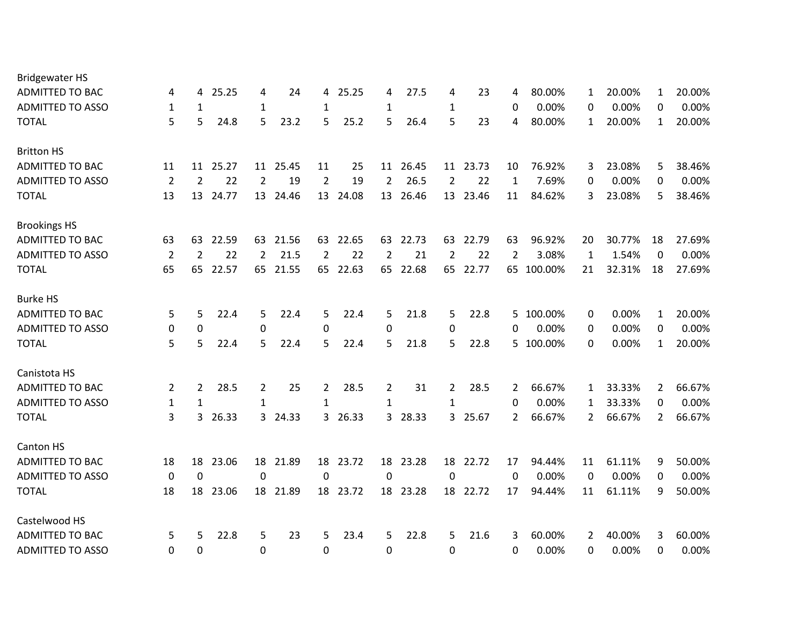| <b>Bridgewater HS</b>   |                |                |       |                |          |                |       |                |          |                |          |              |            |             |        |                |        |
|-------------------------|----------------|----------------|-------|----------------|----------|----------------|-------|----------------|----------|----------------|----------|--------------|------------|-------------|--------|----------------|--------|
| <b>ADMITTED TO BAC</b>  | 4              | 4              | 25.25 | 4              | 24       | 4              | 25.25 | 4              | 27.5     | 4              | 23       | 4            | 80.00%     | 1           | 20.00% | $\mathbf{1}$   | 20.00% |
| <b>ADMITTED TO ASSO</b> | $\mathbf{1}$   | 1              |       | $\mathbf{1}$   |          | 1              |       | $\mathbf{1}$   |          | $\mathbf{1}$   |          | $\mathbf{0}$ | 0.00%      | 0           | 0.00%  | $\Omega$       | 0.00%  |
| <b>TOTAL</b>            | 5              | 5              | 24.8  | 5              | 23.2     | 5              | 25.2  | 5              | 26.4     | 5              | 23       | 4            | 80.00%     | 1           | 20.00% | 1              | 20.00% |
| <b>Britton HS</b>       |                |                |       |                |          |                |       |                |          |                |          |              |            |             |        |                |        |
| <b>ADMITTED TO BAC</b>  | 11             | 11             | 25.27 |                | 11 25.45 | 11             | 25    |                | 11 26.45 |                | 11 23.73 | 10           | 76.92%     | 3           | 23.08% | 5              | 38.46% |
| <b>ADMITTED TO ASSO</b> | $\overline{2}$ | $\overline{2}$ | 22    | $\overline{2}$ | 19       | $\overline{2}$ | 19    | $\overline{2}$ | 26.5     | $\overline{2}$ | 22       | 1            | 7.69%      | 0           | 0.00%  | 0              | 0.00%  |
| <b>TOTAL</b>            | 13             | 13             | 24.77 | 13             | 24.46    | 13             | 24.08 | 13             | 26.46    | 13             | 23.46    | 11           | 84.62%     | 3           | 23.08% | 5              | 38.46% |
| <b>Brookings HS</b>     |                |                |       |                |          |                |       |                |          |                |          |              |            |             |        |                |        |
| <b>ADMITTED TO BAC</b>  | 63             | 63             | 22.59 | 63             | 21.56    | 63             | 22.65 | 63             | 22.73    | 63             | 22.79    | 63           | 96.92%     | 20          | 30.77% | 18             | 27.69% |
| <b>ADMITTED TO ASSO</b> | 2              | $\overline{2}$ | 22    | 2              | 21.5     | 2              | 22    | 2              | 21       | 2              | 22       | 2            | 3.08%      | 1           | 1.54%  | 0              | 0.00%  |
| <b>TOTAL</b>            | 65             | 65             | 22.57 |                | 65 21.55 | 65             | 22.63 | 65             | 22.68    |                | 65 22.77 |              | 65 100.00% | 21          | 32.31% | 18             | 27.69% |
| <b>Burke HS</b>         |                |                |       |                |          |                |       |                |          |                |          |              |            |             |        |                |        |
| <b>ADMITTED TO BAC</b>  | 5              | 5              | 22.4  | 5              | 22.4     | 5              | 22.4  | 5              | 21.8     | 5              | 22.8     | 5.           | 100.00%    | 0           | 0.00%  | $\mathbf{1}$   | 20.00% |
| <b>ADMITTED TO ASSO</b> | 0              | 0              |       | $\mathbf 0$    |          | 0              |       | 0              |          | $\mathbf 0$    |          | 0            | 0.00%      | 0           | 0.00%  | 0              | 0.00%  |
| <b>TOTAL</b>            | 5              | 5              | 22.4  | 5              | 22.4     | 5              | 22.4  | 5              | 21.8     | 5              | 22.8     | 5.           | 100.00%    | $\Omega$    | 0.00%  | $\mathbf{1}$   | 20.00% |
| Canistota HS            |                |                |       |                |          |                |       |                |          |                |          |              |            |             |        |                |        |
| <b>ADMITTED TO BAC</b>  | 2              | 2              | 28.5  | 2              | 25       | 2              | 28.5  | 2              | 31       | $\overline{2}$ | 28.5     | 2            | 66.67%     | 1           | 33.33% | 2              | 66.67% |
| <b>ADMITTED TO ASSO</b> | $\mathbf{1}$   | $\mathbf{1}$   |       | $\mathbf{1}$   |          | $\mathbf{1}$   |       | $\mathbf{1}$   |          | $\mathbf{1}$   |          | 0            | 0.00%      | 1           | 33.33% | 0              | 0.00%  |
| <b>TOTAL</b>            | 3              | 3              | 26.33 |                | 3 24.33  | 3              | 26.33 | $\overline{3}$ | 28.33    |                | 3 25.67  | 2            | 66.67%     | 2           | 66.67% | $\overline{2}$ | 66.67% |
| Canton HS               |                |                |       |                |          |                |       |                |          |                |          |              |            |             |        |                |        |
| <b>ADMITTED TO BAC</b>  | 18             | 18             | 23.06 | 18             | 21.89    | 18             | 23.72 | 18             | 23.28    | 18             | 22.72    | 17           | 94.44%     | 11          | 61.11% | 9              | 50.00% |
| <b>ADMITTED TO ASSO</b> | 0              | $\mathbf 0$    |       | 0              |          | 0              |       | $\mathbf 0$    |          | 0              |          | 0            | 0.00%      | $\mathbf 0$ | 0.00%  | 0              | 0.00%  |
| <b>TOTAL</b>            | 18             | 18             | 23.06 | 18             | 21.89    | 18             | 23.72 | 18             | 23.28    | 18             | 22.72    | 17           | 94.44%     | 11          | 61.11% | 9              | 50.00% |
| Castelwood HS           |                |                |       |                |          |                |       |                |          |                |          |              |            |             |        |                |        |
| <b>ADMITTED TO BAC</b>  | 5              | 5              | 22.8  | 5              | 23       | 5              | 23.4  | 5              | 22.8     | 5              | 21.6     | 3            | 60.00%     | 2           | 40.00% | 3              | 60.00% |
| <b>ADMITTED TO ASSO</b> | 0              | 0              |       | 0              |          | 0              |       | 0              |          | 0              |          | 0            | 0.00%      | 0           | 0.00%  | 0              | 0.00%  |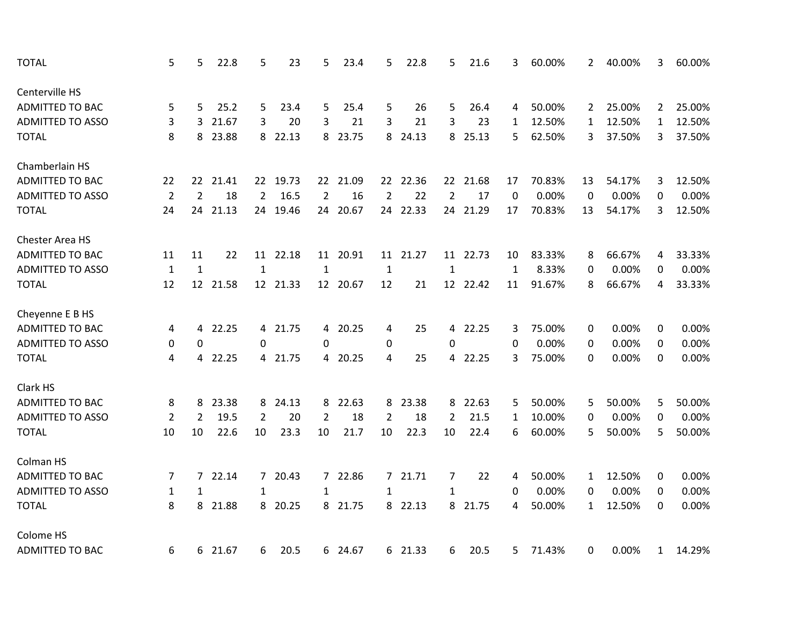| <b>TOTAL</b>            | 5              | 5              | 22.8    | 5              | 23       | 5              | 23.4     | 5              | 22.8     | 5              | 21.6     | 3            | 60.00% | 2            | 40.00% | 3              | 60.00% |
|-------------------------|----------------|----------------|---------|----------------|----------|----------------|----------|----------------|----------|----------------|----------|--------------|--------|--------------|--------|----------------|--------|
| Centerville HS          |                |                |         |                |          |                |          |                |          |                |          |              |        |              |        |                |        |
| ADMITTED TO BAC         | 5              | 5              | 25.2    | 5              | 23.4     | 5              | 25.4     | 5              | 26       | 5              | 26.4     | 4            | 50.00% | 2            | 25.00% | $\overline{2}$ | 25.00% |
| <b>ADMITTED TO ASSO</b> | 3              | 3              | 21.67   | 3              | 20       | 3              | 21       | 3              | 21       | 3              | 23       | 1            | 12.50% | $\mathbf{1}$ | 12.50% | $\mathbf{1}$   | 12.50% |
| <b>TOTAL</b>            | 8              | 8              | 23.88   | 8              | 22.13    | 8              | 23.75    | 8              | 24.13    | 8              | 25.13    | 5            | 62.50% | 3            | 37.50% | 3              | 37.50% |
| Chamberlain HS          |                |                |         |                |          |                |          |                |          |                |          |              |        |              |        |                |        |
| <b>ADMITTED TO BAC</b>  | 22             | 22             | 21.41   | 22             | 19.73    | 22             | 21.09    |                | 22 22.36 | 22             | 21.68    | 17           | 70.83% | 13           | 54.17% | 3              | 12.50% |
| <b>ADMITTED TO ASSO</b> | $\overline{2}$ | $\overline{2}$ | 18      | $\overline{2}$ | 16.5     | $\overline{2}$ | 16       | $\overline{2}$ | 22       | $\overline{2}$ | 17       | 0            | 0.00%  | 0            | 0.00%  | 0              | 0.00%  |
| <b>TOTAL</b>            | 24             | 24             | 21.13   | 24             | 19.46    | 24             | 20.67    | 24             | 22.33    | 24             | 21.29    | 17           | 70.83% | 13           | 54.17% | 3              | 12.50% |
| Chester Area HS         |                |                |         |                |          |                |          |                |          |                |          |              |        |              |        |                |        |
| <b>ADMITTED TO BAC</b>  | 11             | 11             | 22      |                | 11 22.18 |                | 11 20.91 |                | 11 21.27 |                | 11 22.73 | 10           | 83.33% | 8            | 66.67% | 4              | 33.33% |
| <b>ADMITTED TO ASSO</b> | $\mathbf 1$    | $\mathbf{1}$   |         | $\mathbf{1}$   |          | $\mathbf{1}$   |          | $\mathbf{1}$   |          | $\mathbf{1}$   |          | $\mathbf{1}$ | 8.33%  | 0            | 0.00%  | 0              | 0.00%  |
| <b>TOTAL</b>            | 12             | 12             | 21.58   |                | 12 21.33 |                | 12 20.67 | 12             | 21       |                | 12 22.42 | 11           | 91.67% | 8            | 66.67% | 4              | 33.33% |
| Cheyenne E B HS         |                |                |         |                |          |                |          |                |          |                |          |              |        |              |        |                |        |
| ADMITTED TO BAC         | 4              | 4              | 22.25   |                | 4 21.75  | 4              | 20.25    | 4              | 25       |                | 4 22.25  | 3            | 75.00% | 0            | 0.00%  | 0              | 0.00%  |
| <b>ADMITTED TO ASSO</b> | 0              | $\mathbf 0$    |         | $\Omega$       |          | $\mathbf{0}$   |          | 0              |          | $\Omega$       |          | $\Omega$     | 0.00%  | 0            | 0.00%  | 0              | 0.00%  |
| <b>TOTAL</b>            | 4              | 4              | 22.25   |                | 4 21.75  | 4              | 20.25    | 4              | 25       |                | 4 22.25  | 3            | 75.00% | 0            | 0.00%  | 0              | 0.00%  |
| Clark HS                |                |                |         |                |          |                |          |                |          |                |          |              |        |              |        |                |        |
| <b>ADMITTED TO BAC</b>  | 8              | 8              | 23.38   | 8              | 24.13    | 8              | 22.63    |                | 8 23.38  | 8              | 22.63    | 5            | 50.00% | 5            | 50.00% | 5              | 50.00% |
| <b>ADMITTED TO ASSO</b> | $\overline{2}$ | $\overline{2}$ | 19.5    | $\overline{2}$ | 20       | $\overline{2}$ | 18       | $\overline{2}$ | 18       | $\overline{2}$ | 21.5     | 1            | 10.00% | 0            | 0.00%  | 0              | 0.00%  |
| <b>TOTAL</b>            | 10             | 10             | 22.6    | 10             | 23.3     | 10             | 21.7     | 10             | 22.3     | 10             | 22.4     | 6            | 60.00% | 5            | 50.00% | 5              | 50.00% |
| Colman HS               |                |                |         |                |          |                |          |                |          |                |          |              |        |              |        |                |        |
| <b>ADMITTED TO BAC</b>  | 7              | $\overline{7}$ | 22.14   |                | 7 20.43  | 7 <sup>1</sup> | 22.86    |                | 7 21.71  | $\overline{7}$ | 22       | 4            | 50.00% | 1            | 12.50% | 0              | 0.00%  |
| <b>ADMITTED TO ASSO</b> | $\mathbf{1}$   | $\mathbf{1}$   |         | 1              |          | $\mathbf{1}$   |          | $\mathbf{1}$   |          | $\mathbf{1}$   |          | 0            | 0.00%  | 0            | 0.00%  | 0              | 0.00%  |
| <b>TOTAL</b>            | 8              | 8              | 21.88   | 8              | 20.25    | 8              | 21.75    |                | 8 22.13  | 8              | 21.75    | 4            | 50.00% | $\mathbf{1}$ | 12.50% | 0              | 0.00%  |
| Colome HS               |                |                |         |                |          |                |          |                |          |                |          |              |        |              |        |                |        |
| <b>ADMITTED TO BAC</b>  | 6              |                | 6 21.67 | 6              | 20.5     |                | 6 24.67  |                | 6 21.33  | 6              | 20.5     | 5            | 71.43% | 0            | 0.00%  | $\mathbf{1}$   | 14.29% |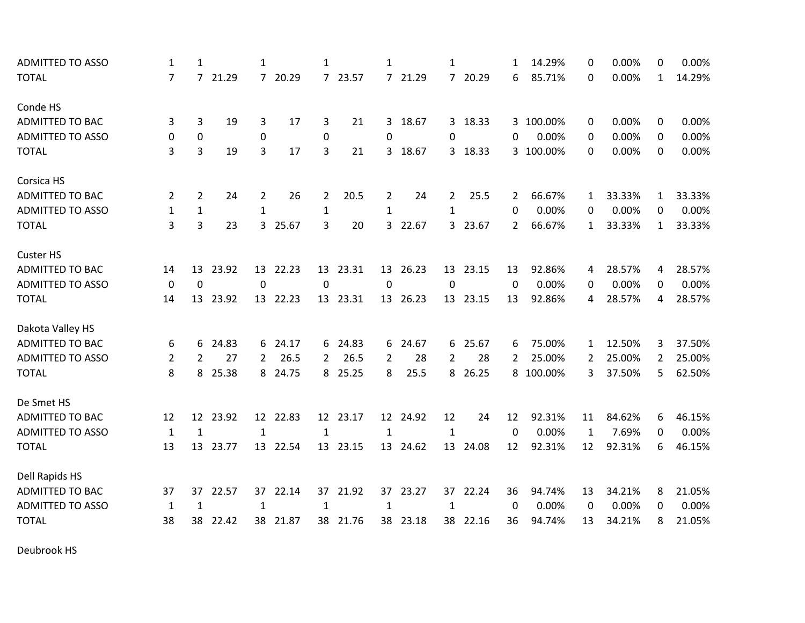| <b>ADMITTED TO ASSO</b> | $\mathbf{1}$   | $\mathbf{1}$     |          | 1              |          | 1              |          | 1            |          | 1              |          | 1  | 14.29%    | 0  | 0.00%  | 0              | 0.00%  |
|-------------------------|----------------|------------------|----------|----------------|----------|----------------|----------|--------------|----------|----------------|----------|----|-----------|----|--------|----------------|--------|
| <b>TOTAL</b>            | $\overline{7}$ |                  | 7 21.29  |                | 7 20.29  |                | 7 23.57  |              | 7 21.29  |                | 7 20.29  | 6  | 85.71%    | 0  | 0.00%  | $\mathbf{1}$   | 14.29% |
| Conde HS                |                |                  |          |                |          |                |          |              |          |                |          |    |           |    |        |                |        |
| <b>ADMITTED TO BAC</b>  | 3              | 3                | 19       | 3              | 17       | 3              | 21       |              | 3 18.67  |                | 3 18.33  |    | 3 100.00% | 0  | 0.00%  | 0              | 0.00%  |
| <b>ADMITTED TO ASSO</b> | 0              | 0                |          | $\pmb{0}$      |          | 0              |          | 0            |          | 0              |          | 0  | 0.00%     | 0  | 0.00%  | 0              | 0.00%  |
| <b>TOTAL</b>            | 3              | 3                | 19       | 3              | 17       | 3              | 21       |              | 3 18.67  |                | 3 18.33  |    | 3 100.00% | 0  | 0.00%  | 0              | 0.00%  |
| Corsica HS              |                |                  |          |                |          |                |          |              |          |                |          |    |           |    |        |                |        |
| <b>ADMITTED TO BAC</b>  | $\overline{2}$ | $\overline{2}$   | 24       | $\overline{2}$ | 26       | $\overline{2}$ | 20.5     | 2            | 24       | $\overline{2}$ | 25.5     | 2  | 66.67%    | 1  | 33.33% | $\mathbf{1}$   | 33.33% |
| <b>ADMITTED TO ASSO</b> | 1              | $\mathbf{1}$     |          | $\mathbf{1}$   |          | $\mathbf{1}$   |          | $\mathbf{1}$ |          | 1              |          | 0  | 0.00%     | 0  | 0.00%  | 0              | 0.00%  |
| <b>TOTAL</b>            | 3              | 3                | 23       |                | 3 25.67  | 3              | 20       |              | 3 22.67  |                | 3 23.67  | 2  | 66.67%    | 1  | 33.33% | $\mathbf{1}$   | 33.33% |
| <b>Custer HS</b>        |                |                  |          |                |          |                |          |              |          |                |          |    |           |    |        |                |        |
| <b>ADMITTED TO BAC</b>  | 14             | 13               | 23.92    |                | 13 22.23 |                | 13 23.31 |              | 13 26.23 |                | 13 23.15 | 13 | 92.86%    | 4  | 28.57% | 4              | 28.57% |
| <b>ADMITTED TO ASSO</b> | $\mathbf 0$    | $\boldsymbol{0}$ |          | $\pmb{0}$      |          | 0              |          | 0            |          | 0              |          | 0  | 0.00%     | 0  | 0.00%  | 0              | 0.00%  |
| <b>TOTAL</b>            | 14             | 13               | 23.92    |                | 13 22.23 |                | 13 23.31 |              | 13 26.23 | 13             | 23.15    | 13 | 92.86%    | 4  | 28.57% | 4              | 28.57% |
| Dakota Valley HS        |                |                  |          |                |          |                |          |              |          |                |          |    |           |    |        |                |        |
| <b>ADMITTED TO BAC</b>  | 6              | 6                | 24.83    |                | 6 24.17  | 6              | 24.83    |              | 6 24.67  |                | 6 25.67  | 6  | 75.00%    | 1  | 12.50% | 3              | 37.50% |
| <b>ADMITTED TO ASSO</b> | $\overline{2}$ | 2                | 27       | $\overline{2}$ | 26.5     | 2              | 26.5     | 2            | 28       | 2              | 28       | 2  | 25.00%    | 2  | 25.00% | $\overline{2}$ | 25.00% |
| <b>TOTAL</b>            | 8              | 8                | 25.38    |                | 8 24.75  |                | 8 25.25  | 8            | 25.5     |                | 8 26.25  |    | 8 100.00% | 3  | 37.50% | 5              | 62.50% |
| De Smet HS              |                |                  |          |                |          |                |          |              |          |                |          |    |           |    |        |                |        |
| ADMITTED TO BAC         | 12             |                  | 12 23.92 |                | 12 22.83 |                | 12 23.17 |              | 12 24.92 | 12             | 24       | 12 | 92.31%    | 11 | 84.62% | 6              | 46.15% |
| <b>ADMITTED TO ASSO</b> | $\mathbf{1}$   | $\mathbf{1}$     |          | 1              |          | 1              |          | $\mathbf 1$  |          | $\mathbf{1}$   |          | 0  | 0.00%     | 1  | 7.69%  | 0              | 0.00%  |
| <b>TOTAL</b>            | 13             | 13               | 23.77    |                | 13 22.54 |                | 13 23.15 |              | 13 24.62 | 13             | 24.08    | 12 | 92.31%    | 12 | 92.31% | 6              | 46.15% |
| Dell Rapids HS          |                |                  |          |                |          |                |          |              |          |                |          |    |           |    |        |                |        |
| <b>ADMITTED TO BAC</b>  | 37             | 37               | 22.57    | 37             | 22.14    | 37             | 21.92    | 37           | 23.27    | 37             | 22.24    | 36 | 94.74%    | 13 | 34.21% | 8              | 21.05% |
| <b>ADMITTED TO ASSO</b> | 1              | $\mathbf{1}$     |          | $\mathbf{1}$   |          | 1              |          | $\mathbf{1}$ |          | 1              |          | 0  | 0.00%     | 0  | 0.00%  | $\Omega$       | 0.00%  |
| <b>TOTAL</b>            | 38             | 38               | 22.42    |                | 38 21.87 | 38             | 21.76    |              | 38 23.18 |                | 38 22.16 | 36 | 94.74%    | 13 | 34.21% | 8              | 21.05% |

Deubrook HS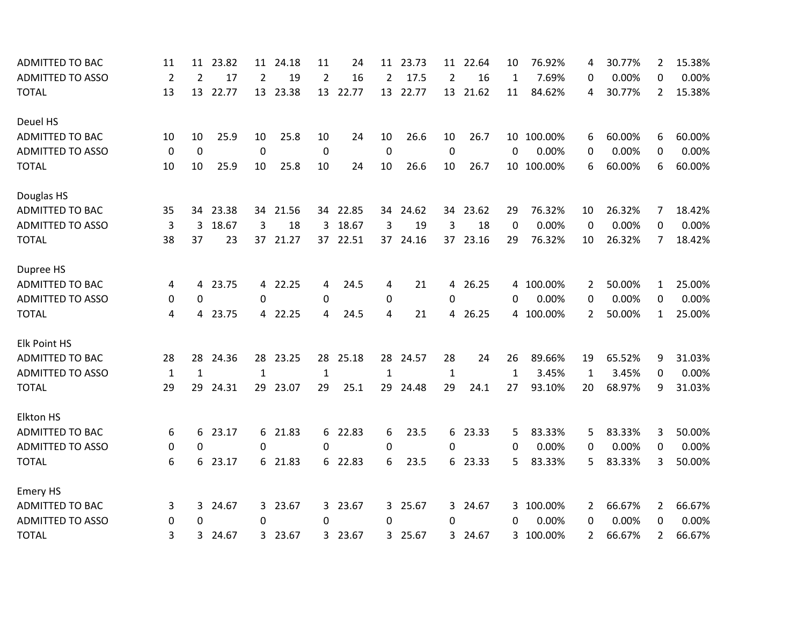| <b>ADMITTED TO BAC</b>  | 11             | 11             | 23.82 | 11           | 24.18    | 11           | 24      | 11           | 23.73    | 11             | 22.64   | 10           | 76.92%     | 4            | 30.77% | 2                     | 15.38% |
|-------------------------|----------------|----------------|-------|--------------|----------|--------------|---------|--------------|----------|----------------|---------|--------------|------------|--------------|--------|-----------------------|--------|
| <b>ADMITTED TO ASSO</b> | $\overline{2}$ | $\overline{2}$ | 17    | 2            | 19       | 2            | 16      | 2            | 17.5     | 2              | 16      | 1            | 7.69%      | 0            | 0.00%  | 0                     | 0.00%  |
| <b>TOTAL</b>            | 13             | 13             | 22.77 | 13           | 23.38    | 13           | 22.77   | 13           | 22.77    | 13             | 21.62   | 11           | 84.62%     | 4            | 30.77% | $\overline{2}$        | 15.38% |
| Deuel HS                |                |                |       |              |          |              |         |              |          |                |         |              |            |              |        |                       |        |
| ADMITTED TO BAC         | 10             | 10             | 25.9  | 10           | 25.8     | 10           | 24      | 10           | 26.6     | 10             | 26.7    |              | 10 100.00% | 6            | 60.00% | 6                     | 60.00% |
| <b>ADMITTED TO ASSO</b> | 0              | 0              |       | 0            |          | 0            |         | 0            |          | 0              |         | 0            | 0.00%      | 0            | 0.00%  | 0                     | 0.00%  |
| <b>TOTAL</b>            | 10             | 10             | 25.9  | 10           | 25.8     | 10           | 24      | 10           | 26.6     | 10             | 26.7    |              | 10 100.00% | 6            | 60.00% | 6                     | 60.00% |
| Douglas HS              |                |                |       |              |          |              |         |              |          |                |         |              |            |              |        |                       |        |
| <b>ADMITTED TO BAC</b>  | 35             | 34             | 23.38 | 34           | 21.56    | 34           | 22.85   |              | 34 24.62 | 34             | 23.62   | 29           | 76.32%     | 10           | 26.32% | 7                     | 18.42% |
| <b>ADMITTED TO ASSO</b> | 3              | 3              | 18.67 | 3            | 18       | 3            | 18.67   | 3            | 19       | 3              | 18      | 0            | 0.00%      | 0            | 0.00%  | 0                     | 0.00%  |
| <b>TOTAL</b>            | 38             | 37             | 23    |              | 37 21.27 | 37           | 22.51   |              | 37 24.16 | 37             | 23.16   | 29           | 76.32%     | 10           | 26.32% | 7                     | 18.42% |
| Dupree HS               |                |                |       |              |          |              |         |              |          |                |         |              |            |              |        |                       |        |
| ADMITTED TO BAC         | 4              | 4              | 23.75 |              | 4 22.25  | 4            | 24.5    | 4            | 21       | $\overline{4}$ | 26.25   |              | 4 100.00%  | 2            | 50.00% | 1                     | 25.00% |
| <b>ADMITTED TO ASSO</b> | 0              | 0              |       | $\Omega$     |          | 0            |         | 0            |          | $\Omega$       |         | 0            | 0.00%      | 0            | 0.00%  | $\Omega$              | 0.00%  |
| <b>TOTAL</b>            | 4              | 4              | 23.75 |              | 4 22.25  | 4            | 24.5    | 4            | 21       | 4              | 26.25   |              | 4 100.00%  | 2            | 50.00% | $\mathbf{1}$          | 25.00% |
| <b>Elk Point HS</b>     |                |                |       |              |          |              |         |              |          |                |         |              |            |              |        |                       |        |
| <b>ADMITTED TO BAC</b>  | 28             | 28             | 24.36 |              | 28 23.25 | 28           | 25.18   |              | 28 24.57 | 28             | 24      | 26           | 89.66%     | 19           | 65.52% | 9                     | 31.03% |
| <b>ADMITTED TO ASSO</b> | $\mathbf{1}$   | $\mathbf{1}$   |       | $\mathbf{1}$ |          | $\mathbf{1}$ |         | $\mathbf{1}$ |          | $\mathbf{1}$   |         | $\mathbf{1}$ | 3.45%      | $\mathbf{1}$ | 3.45%  | 0                     | 0.00%  |
| <b>TOTAL</b>            | 29             | 29             | 24.31 | 29           | 23.07    | 29           | 25.1    | 29           | 24.48    | 29             | 24.1    | 27           | 93.10%     | 20           | 68.97% | 9                     | 31.03% |
| <b>Elkton HS</b>        |                |                |       |              |          |              |         |              |          |                |         |              |            |              |        |                       |        |
| <b>ADMITTED TO BAC</b>  | 6              | 6              | 23.17 |              | 6 21.83  | 6            | 22.83   | 6            | 23.5     | 6              | 23.33   | 5            | 83.33%     | 5            | 83.33% | 3                     | 50.00% |
| <b>ADMITTED TO ASSO</b> | 0              | 0              |       | 0            |          | 0            |         | 0            |          | 0              |         | 0            | 0.00%      | 0            | 0.00%  | $\Omega$              | 0.00%  |
| <b>TOTAL</b>            | 6              | 6              | 23.17 |              | 6 21.83  |              | 6 22.83 | 6            | 23.5     |                | 6 23.33 | 5            | 83.33%     | 5.           | 83.33% | 3.                    | 50.00% |
| <b>Emery HS</b>         |                |                |       |              |          |              |         |              |          |                |         |              |            |              |        |                       |        |
| <b>ADMITTED TO BAC</b>  | 3              | 3              | 24.67 |              | 3 23.67  | 3            | 23.67   |              | 3 25.67  |                | 3 24.67 |              | 3 100.00%  | 2            | 66.67% | 2                     | 66.67% |
| <b>ADMITTED TO ASSO</b> | 0              | 0              |       | $\Omega$     |          | 0            |         | 0            |          | 0              |         | 0            | 0.00%      | 0            | 0.00%  | 0                     | 0.00%  |
| <b>TOTAL</b>            | 3              | 3              | 24.67 |              | 3 23.67  | 3.           | 23.67   | 3            | 25.67    | 3              | 24.67   |              | 3 100.00%  | 2            | 66.67% | $\mathbf{2}^{\prime}$ | 66.67% |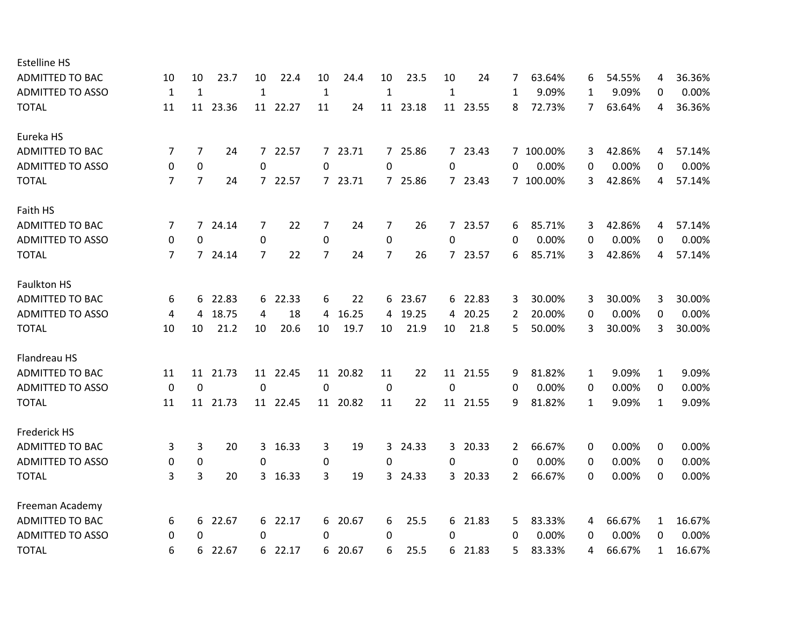| 10           | 10             | 23.7  | 10                              | 22.4  | 10                                                                                                 | 24.4  | 10                                       | 23.5  | 10                                                   | 24    | 7                                                                                                                          | 63.64% | 6                      | 54.55% | 4            | 36.36% |
|--------------|----------------|-------|---------------------------------|-------|----------------------------------------------------------------------------------------------------|-------|------------------------------------------|-------|------------------------------------------------------|-------|----------------------------------------------------------------------------------------------------------------------------|--------|------------------------|--------|--------------|--------|
| $\mathbf{1}$ | $\mathbf{1}$   |       | $\mathbf 1$                     |       | $\mathbf{1}$                                                                                       |       | $\mathbf{1}$                             |       | $\mathbf{1}$                                         |       | 1                                                                                                                          | 9.09%  | 1                      | 9.09%  | 0            | 0.00%  |
| 11           |                |       |                                 |       | 11                                                                                                 | 24    |                                          |       |                                                      |       | 8                                                                                                                          | 72.73% | 7                      | 63.64% | 4            | 36.36% |
|              |                |       |                                 |       |                                                                                                    |       |                                          |       |                                                      |       |                                                                                                                            |        |                        |        |              |        |
| 7            | $\overline{7}$ | 24    |                                 |       |                                                                                                    | 23.71 |                                          |       |                                                      |       |                                                                                                                            |        | 3                      | 42.86% | 4            | 57.14% |
| 0            | $\mathbf 0$    |       | 0                               |       | 0                                                                                                  |       | 0                                        |       | 0                                                    |       | 0                                                                                                                          | 0.00%  | 0                      | 0.00%  | 0            | 0.00%  |
| 7            | 7              | 24    |                                 |       |                                                                                                    |       |                                          |       |                                                      |       |                                                                                                                            |        | 3                      | 42.86% | 4            | 57.14% |
|              |                |       |                                 |       |                                                                                                    |       |                                          |       |                                                      |       |                                                                                                                            |        |                        |        |              |        |
| 7            | 7              | 24.14 | 7                               | 22    | 7                                                                                                  | 24    | 7                                        | 26    |                                                      | 23.57 | 6                                                                                                                          | 85.71% | 3                      | 42.86% | 4            | 57.14% |
| 0            | 0              |       | 0                               |       | 0                                                                                                  |       | 0                                        |       | 0                                                    |       | 0                                                                                                                          | 0.00%  | 0                      | 0.00%  | 0            | 0.00%  |
| 7            |                |       | 7                               | 22    | $\overline{7}$                                                                                     | 24    | 7                                        | 26    |                                                      |       | 6                                                                                                                          | 85.71% | 3                      | 42.86% | 4            | 57.14% |
|              |                |       |                                 |       |                                                                                                    |       |                                          |       |                                                      |       |                                                                                                                            |        |                        |        |              |        |
| 6            | 6              | 22.83 |                                 |       | 6                                                                                                  | 22    |                                          |       |                                                      |       | 3                                                                                                                          | 30.00% | 3                      | 30.00% | 3            | 30.00% |
| 4            | 4              | 18.75 | 4                               | 18    | 4                                                                                                  | 16.25 | 4                                        | 19.25 | 4                                                    | 20.25 | 2                                                                                                                          | 20.00% | 0                      | 0.00%  | 0            | 0.00%  |
| 10           | 10             | 21.2  | 10                              | 20.6  | 10                                                                                                 | 19.7  | 10                                       | 21.9  | 10                                                   | 21.8  | 5                                                                                                                          | 50.00% | 3                      | 30.00% | 3            | 30.00% |
|              |                |       |                                 |       |                                                                                                    |       |                                          |       |                                                      |       |                                                                                                                            |        |                        |        |              |        |
| 11           | 11             | 21.73 |                                 |       |                                                                                                    | 20.82 | 11                                       | 22    | 11                                                   | 21.55 | 9                                                                                                                          | 81.82% | 1                      | 9.09%  | $\mathbf{1}$ | 9.09%  |
| $\mathbf 0$  | $\mathbf 0$    |       | 0                               |       | $\mathbf 0$                                                                                        |       | $\mathbf 0$                              |       | $\mathbf 0$                                          |       | 0                                                                                                                          | 0.00%  | 0                      | 0.00%  | 0            | 0.00%  |
| 11           |                |       |                                 |       |                                                                                                    |       | 11                                       | 22    |                                                      |       | 9                                                                                                                          | 81.82% | 1                      | 9.09%  | $\mathbf{1}$ | 9.09%  |
|              |                |       |                                 |       |                                                                                                    |       |                                          |       |                                                      |       |                                                                                                                            |        |                        |        |              |        |
| 3            | 3              | 20    | 3                               | 16.33 | 3                                                                                                  | 19    | 3                                        | 24.33 |                                                      | 20.33 | 2                                                                                                                          | 66.67% | 0                      | 0.00%  | 0            | 0.00%  |
| 0            | $\pmb{0}$      |       | 0                               |       | 0                                                                                                  |       | 0                                        |       | 0                                                    |       | $\Omega$                                                                                                                   | 0.00%  | 0                      | 0.00%  | 0            | 0.00%  |
| 3            | 3              | 20    |                                 |       | 3                                                                                                  | 19    |                                          |       |                                                      |       | 2                                                                                                                          | 66.67% | 0                      | 0.00%  | 0            | 0.00%  |
|              |                |       |                                 |       |                                                                                                    |       |                                          |       |                                                      |       |                                                                                                                            |        |                        |        |              |        |
| 6            | 6              | 22.67 |                                 |       | 6                                                                                                  | 20.67 | 6                                        | 25.5  |                                                      |       | 5                                                                                                                          | 83.33% | 4                      | 66.67% | $\mathbf{1}$ | 16.67% |
| 0            | 0              |       | 0                               |       | 0                                                                                                  |       | 0                                        |       | 0                                                    |       | $\Omega$                                                                                                                   | 0.00%  | 0                      | 0.00%  | 0            | 0.00%  |
| 6            | 6              | 22.67 |                                 |       | 6                                                                                                  | 20.67 | 6                                        | 25.5  |                                                      | 21.83 | 5                                                                                                                          | 83.33% | 4                      | 66.67% | $\mathbf{1}$ | 16.67% |
|              |                |       | 11 23.36<br>7 24.14<br>11 21.73 |       | 11 22.27<br>7 22.57<br>7 22.57<br>6 22.33<br>11 22.45<br>11 22.45<br>3 16.33<br>6 22.17<br>6 22.17 |       | $7^{\circ}$<br>7 23.71<br>11<br>11 20.82 |       | 11 23.18<br>7 25.86<br>7 25.86<br>6 23.67<br>3 24.33 |       | 11 23.55<br>7 23.43<br>7 23.43<br>$7^{\circ}$<br>7 23.57<br>6 22.83<br>11 21.55<br>$\mathbf{3}$<br>3 20.33<br>6 21.83<br>6 |        | 7 100.00%<br>7 100.00% |        |              |        |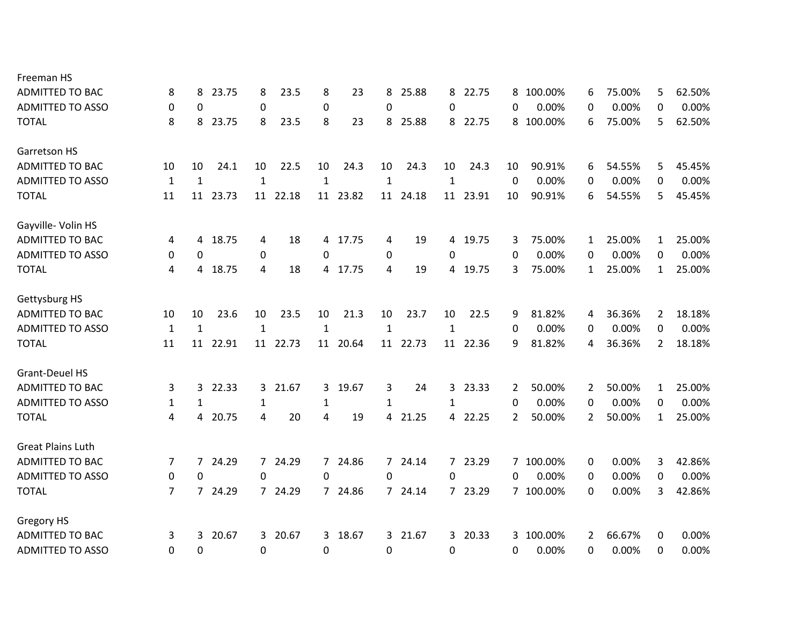| Freeman HS               |              |              |       |                  |          |                |       |              |          |              |         |          |           |                |        |                |        |
|--------------------------|--------------|--------------|-------|------------------|----------|----------------|-------|--------------|----------|--------------|---------|----------|-----------|----------------|--------|----------------|--------|
| <b>ADMITTED TO BAC</b>   | 8            | 8            | 23.75 | 8                | 23.5     | 8              | 23    | 8            | 25.88    | 8            | 22.75   | 8        | 100.00%   | 6              | 75.00% | 5.             | 62.50% |
| <b>ADMITTED TO ASSO</b>  | 0            | 0            |       | $\pmb{0}$        |          | 0              |       | 0            |          | $\Omega$     |         | 0        | 0.00%     | 0              | 0.00%  | 0              | 0.00%  |
| <b>TOTAL</b>             | 8            | 8            | 23.75 | 8                | 23.5     | 8              | 23    | 8            | 25.88    | 8            | 22.75   | 8        | 100.00%   | 6              | 75.00% | 5.             | 62.50% |
| Garretson HS             |              |              |       |                  |          |                |       |              |          |              |         |          |           |                |        |                |        |
| <b>ADMITTED TO BAC</b>   | 10           | 10           | 24.1  | 10               | 22.5     | 10             | 24.3  | 10           | 24.3     | 10           | 24.3    | 10       | 90.91%    | 6              | 54.55% | 5              | 45.45% |
| <b>ADMITTED TO ASSO</b>  | $\mathbf{1}$ | $\mathbf{1}$ |       | $\mathbf{1}$     |          | $\mathbf{1}$   |       | $\mathbf{1}$ |          | $\mathbf{1}$ |         | $\Omega$ | 0.00%     | 0              | 0.00%  | 0              | 0.00%  |
| <b>TOTAL</b>             | 11           | 11           | 23.73 | 11               | 22.18    | 11             | 23.82 | 11           | 24.18    | 11           | 23.91   | 10       | 90.91%    | 6              | 54.55% | 5              | 45.45% |
| Gayville- Volin HS       |              |              |       |                  |          |                |       |              |          |              |         |          |           |                |        |                |        |
| <b>ADMITTED TO BAC</b>   | 4            | 4            | 18.75 | 4                | 18       | 4              | 17.75 | 4            | 19       | 4            | 19.75   | 3        | 75.00%    | 1              | 25.00% | 1              | 25.00% |
| <b>ADMITTED TO ASSO</b>  | 0            | 0            |       | 0                |          | 0              |       | 0            |          | 0            |         | 0        | 0.00%     | 0              | 0.00%  | $\Omega$       | 0.00%  |
| <b>TOTAL</b>             | 4            | 4            | 18.75 | 4                | 18       | 4              | 17.75 | 4            | 19       | 4            | 19.75   | 3        | 75.00%    | $\mathbf{1}$   | 25.00% | $\mathbf{1}$   | 25.00% |
| Gettysburg HS            |              |              |       |                  |          |                |       |              |          |              |         |          |           |                |        |                |        |
| <b>ADMITTED TO BAC</b>   | 10           | 10           | 23.6  | 10               | 23.5     | 10             | 21.3  | 10           | 23.7     | 10           | 22.5    | 9        | 81.82%    | 4              | 36.36% | 2              | 18.18% |
| <b>ADMITTED TO ASSO</b>  | $\mathbf{1}$ | $\mathbf{1}$ |       | $\mathbf{1}$     |          | $\mathbf{1}$   |       | $\mathbf{1}$ |          | $\mathbf{1}$ |         | 0        | 0.00%     | 0              | 0.00%  | 0              | 0.00%  |
| <b>TOTAL</b>             | 11           | 11           | 22.91 |                  | 11 22.73 | 11             | 20.64 |              | 11 22.73 | 11           | 22.36   | 9        | 81.82%    | 4              | 36.36% | $\overline{2}$ | 18.18% |
| <b>Grant-Deuel HS</b>    |              |              |       |                  |          |                |       |              |          |              |         |          |           |                |        |                |        |
| <b>ADMITTED TO BAC</b>   | 3            | 3            | 22.33 | 3                | 21.67    | 3              | 19.67 | 3            | 24       | 3            | 23.33   | 2        | 50.00%    | 2              | 50.00% | $\mathbf{1}$   | 25.00% |
| <b>ADMITTED TO ASSO</b>  | $\mathbf{1}$ | 1            |       | 1                |          | $\mathbf{1}$   |       | $\mathbf{1}$ |          | 1            |         | 0        | 0.00%     | 0              | 0.00%  | 0              | 0.00%  |
| <b>TOTAL</b>             | 4            | 4            | 20.75 | 4                | 20       | $\overline{a}$ | 19    | 4            | 21.25    |              | 4 22.25 | 2        | 50.00%    | $\overline{2}$ | 50.00% | $\mathbf{1}$   | 25.00% |
| <b>Great Plains Luth</b> |              |              |       |                  |          |                |       |              |          |              |         |          |           |                |        |                |        |
| <b>ADMITTED TO BAC</b>   | 7            | 7            | 24.29 |                  | 7 24.29  | $\overline{7}$ | 24.86 |              | 7 24.14  |              | 7 23.29 |          | 7 100.00% | 0              | 0.00%  | 3              | 42.86% |
| <b>ADMITTED TO ASSO</b>  | 0            | 0            |       | 0                |          | 0              |       | 0            |          | 0            |         | 0        | 0.00%     | 0              | 0.00%  | 0              | 0.00%  |
| <b>TOTAL</b>             | 7            | $7^{\circ}$  | 24.29 |                  | 7 24.29  | $7^{\circ}$    | 24.86 |              | 7 24.14  |              | 7 23.29 |          | 7 100.00% | 0              | 0.00%  | 3              | 42.86% |
| <b>Gregory HS</b>        |              |              |       |                  |          |                |       |              |          |              |         |          |           |                |        |                |        |
| <b>ADMITTED TO BAC</b>   | 3            | 3            | 20.67 |                  | 3 20.67  | 3              | 18.67 |              | 3 21.67  | $\mathbf{3}$ | 20.33   | 3        | 100.00%   | 2              | 66.67% | 0              | 0.00%  |
| <b>ADMITTED TO ASSO</b>  | 0            | 0            |       | $\boldsymbol{0}$ |          | 0              |       | 0            |          | 0            |         | 0        | 0.00%     | 0              | 0.00%  | 0              | 0.00%  |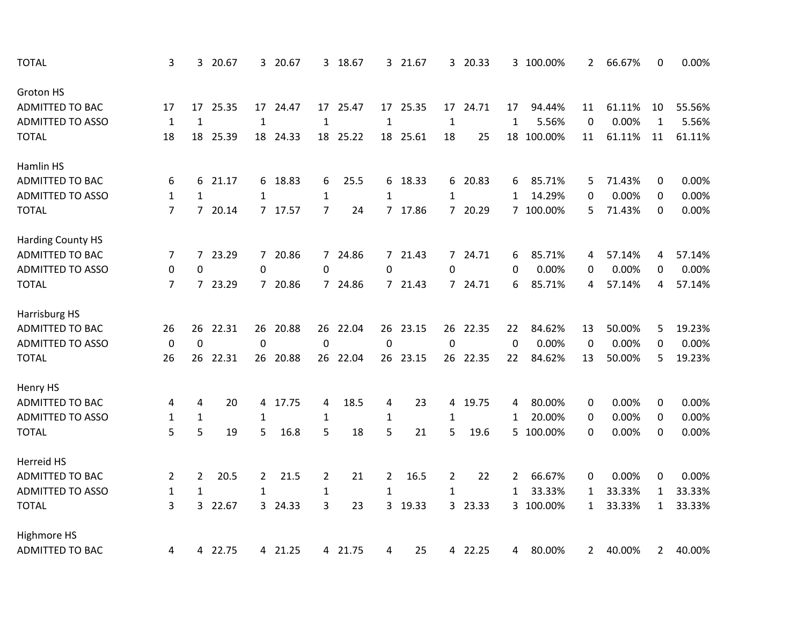| <b>TOTAL</b>             | 3                | 3              | 20.67   |                | 3 20.67  |                | 3 18.67  |                  | 3 21.67  |                  | 3 20.33 |              | 3 100.00%  | 2            | 66.67% | 0            | 0.00%  |
|--------------------------|------------------|----------------|---------|----------------|----------|----------------|----------|------------------|----------|------------------|---------|--------------|------------|--------------|--------|--------------|--------|
| Groton HS                |                  |                |         |                |          |                |          |                  |          |                  |         |              |            |              |        |              |        |
| <b>ADMITTED TO BAC</b>   | 17               | 17             | 25.35   |                | 17 24.47 | 17             | 25.47    |                  | 17 25.35 | 17               | 24.71   | 17           | 94.44%     | 11           | 61.11% | 10           | 55.56% |
| <b>ADMITTED TO ASSO</b>  | $\mathbf{1}$     | $\mathbf{1}$   |         | $\mathbf{1}$   |          | $\mathbf{1}$   |          | $\mathbf{1}$     |          | $\mathbf{1}$     |         | $\mathbf{1}$ | 5.56%      | 0            | 0.00%  | $\mathbf{1}$ | 5.56%  |
| <b>TOTAL</b>             | 18               | 18             | 25.39   |                | 18 24.33 | 18             | 25.22    |                  | 18 25.61 | 18               | 25      |              | 18 100.00% | 11           | 61.11% | 11           | 61.11% |
| Hamlin HS                |                  |                |         |                |          |                |          |                  |          |                  |         |              |            |              |        |              |        |
| <b>ADMITTED TO BAC</b>   | 6                | 6              | 21.17   | 6              | 18.83    | 6              | 25.5     | 6.               | 18.33    | 6                | 20.83   | 6            | 85.71%     | 5            | 71.43% | 0            | 0.00%  |
| <b>ADMITTED TO ASSO</b>  | $\mathbf{1}$     | $\mathbf{1}$   |         | $\mathbf{1}$   |          | $\mathbf{1}$   |          | 1                |          | $\mathbf{1}$     |         | 1            | 14.29%     | 0            | 0.00%  | 0            | 0.00%  |
| <b>TOTAL</b>             | $\overline{7}$   | $7^{\circ}$    | 20.14   |                | 7 17.57  | 7              | 24       |                  | 7 17.86  |                  | 7 20.29 |              | 7 100.00%  | 5            | 71.43% | 0            | 0.00%  |
| <b>Harding County HS</b> |                  |                |         |                |          |                |          |                  |          |                  |         |              |            |              |        |              |        |
| <b>ADMITTED TO BAC</b>   | 7                | $\overline{7}$ | 23.29   |                | 7 20.86  | $\overline{7}$ | 24.86    |                  | 7 21.43  |                  | 7 24.71 | 6            | 85.71%     | 4            | 57.14% | 4            | 57.14% |
| <b>ADMITTED TO ASSO</b>  | $\pmb{0}$        | $\mathbf 0$    |         | $\mathbf 0$    |          | $\mathbf 0$    |          | 0                |          | $\mathbf 0$      |         | $\mathbf{0}$ | 0.00%      | 0            | 0.00%  | 0            | 0.00%  |
| <b>TOTAL</b>             | 7                | $\overline{7}$ | 23.29   |                | 7 20.86  | $7^{\circ}$    | 24.86    |                  | 7 21.43  |                  | 7 24.71 | 6            | 85.71%     | 4            | 57.14% | 4            | 57.14% |
| Harrisburg HS            |                  |                |         |                |          |                |          |                  |          |                  |         |              |            |              |        |              |        |
| <b>ADMITTED TO BAC</b>   | 26               | 26             | 22.31   | 26             | 20.88    | 26             | 22.04    | 26               | 23.15    | 26               | 22.35   | 22           | 84.62%     | 13           | 50.00% | 5            | 19.23% |
| <b>ADMITTED TO ASSO</b>  | $\boldsymbol{0}$ | $\mathbf{0}$   |         | $\pmb{0}$      |          | $\mathbf{0}$   |          | $\boldsymbol{0}$ |          | $\boldsymbol{0}$ |         | $\mathbf{0}$ | 0.00%      | 0            | 0.00%  | 0            | 0.00%  |
| <b>TOTAL</b>             | 26               | 26             | 22.31   | 26             | 20.88    |                | 26 22.04 |                  | 26 23.15 | 26               | 22.35   | 22           | 84.62%     | 13           | 50.00% | 5            | 19.23% |
| Henry HS                 |                  |                |         |                |          |                |          |                  |          |                  |         |              |            |              |        |              |        |
| <b>ADMITTED TO BAC</b>   | 4                | 4              | 20      | 4              | 17.75    | 4              | 18.5     | 4                | 23       |                  | 4 19.75 | 4            | 80.00%     | 0            | 0.00%  | 0            | 0.00%  |
| <b>ADMITTED TO ASSO</b>  | $\mathbf{1}$     | $\mathbf{1}$   |         | $\mathbf{1}$   |          | $\mathbf{1}$   |          | $\mathbf{1}$     |          | $\mathbf{1}$     |         | 1            | 20.00%     | 0            | 0.00%  | 0            | 0.00%  |
| <b>TOTAL</b>             | 5                | 5              | 19      | 5              | 16.8     | 5              | 18       | 5                | 21       | 5                | 19.6    |              | 5 100.00%  | 0            | 0.00%  | 0            | 0.00%  |
| Herreid HS               |                  |                |         |                |          |                |          |                  |          |                  |         |              |            |              |        |              |        |
| <b>ADMITTED TO BAC</b>   | 2                | $\overline{2}$ | 20.5    | $\overline{2}$ | 21.5     | $\overline{2}$ | 21       | $\overline{2}$   | 16.5     | $\overline{2}$   | 22      | 2            | 66.67%     | 0            | 0.00%  | 0            | 0.00%  |
| <b>ADMITTED TO ASSO</b>  | $\mathbf{1}$     | $\mathbf 1$    |         | 1              |          | $\mathbf{1}$   |          | $\mathbf{1}$     |          | 1                |         | 1            | 33.33%     | 1            | 33.33% | 1            | 33.33% |
| <b>TOTAL</b>             | 3                | 3              | 22.67   |                | 3 24.33  | 3              | 23       | 3                | 19.33    |                  | 3 23.33 |              | 3 100.00%  | 1            | 33.33% | 1            | 33.33% |
| Highmore HS              |                  |                |         |                |          |                |          |                  |          |                  |         |              |            |              |        |              |        |
| <b>ADMITTED TO BAC</b>   | 4                |                | 4 22.75 |                | 4 21.25  |                | 4 21.75  | 4                | 25       |                  | 4 22.25 | 4            | 80.00%     | $\mathbf{2}$ | 40.00% | $\mathbf{2}$ | 40.00% |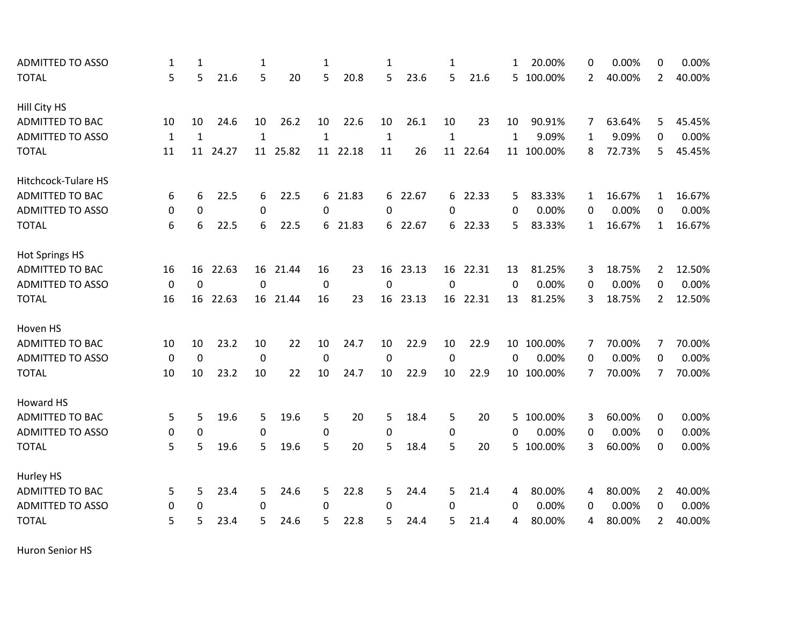| <b>ADMITTED TO ASSO</b>    | 1            | 1            |       | 1            |          | $\mathbf{1}$ |       | 1            |         | $\mathbf{1}$ |         | 1               | 20.00%     | 0            | 0.00%  | 0              | 0.00%  |
|----------------------------|--------------|--------------|-------|--------------|----------|--------------|-------|--------------|---------|--------------|---------|-----------------|------------|--------------|--------|----------------|--------|
| <b>TOTAL</b>               | 5            | 5            | 21.6  | 5            | 20       | 5            | 20.8  | 5            | 23.6    | 5            | 21.6    |                 | 5 100.00%  | 2            | 40.00% | $\overline{2}$ | 40.00% |
| Hill City HS               |              |              |       |              |          |              |       |              |         |              |         |                 |            |              |        |                |        |
| ADMITTED TO BAC            | 10           | 10           | 24.6  | 10           | 26.2     | 10           | 22.6  | 10           | 26.1    | 10           | 23      | 10              | 90.91%     | 7            | 63.64% | 5              | 45.45% |
| <b>ADMITTED TO ASSO</b>    | $\mathbf{1}$ | $\mathbf{1}$ |       | $\mathbf{1}$ |          | $\mathbf{1}$ |       | $\mathbf{1}$ |         | $\mathbf{1}$ |         | $\mathbf{1}$    | 9.09%      | $\mathbf{1}$ | 9.09%  | 0              | 0.00%  |
| <b>TOTAL</b>               | 11           | 11           | 24.27 | 11           | 25.82    | 11           | 22.18 | 11           | 26      | 11           | 22.64   |                 | 11 100.00% | 8            | 72.73% | 5              | 45.45% |
| <b>Hitchcock-Tulare HS</b> |              |              |       |              |          |              |       |              |         |              |         |                 |            |              |        |                |        |
| <b>ADMITTED TO BAC</b>     | 6            | 6            | 22.5  | 6            | 22.5     | 6            | 21.83 |              | 6 22.67 |              | 6 22.33 | 5               | 83.33%     | 1            | 16.67% | 1              | 16.67% |
| <b>ADMITTED TO ASSO</b>    | 0            | $\mathbf 0$  |       | 0            |          | 0            |       | $\Omega$     |         | $\Omega$     |         | 0               | 0.00%      | 0            | 0.00%  | 0              | 0.00%  |
| <b>TOTAL</b>               | 6            | 6            | 22.5  | 6            | 22.5     | 6            | 21.83 |              | 6 22.67 | 6            | 22.33   | 5               | 83.33%     | 1            | 16.67% | $\mathbf{1}$   | 16.67% |
| <b>Hot Springs HS</b>      |              |              |       |              |          |              |       |              |         |              |         |                 |            |              |        |                |        |
| ADMITTED TO BAC            | 16           | 16           | 22.63 |              | 16 21.44 | 16           | 23    | 16           | 23.13   | 16           | 22.31   | 13              | 81.25%     | 3            | 18.75% | $2^{\circ}$    | 12.50% |
| <b>ADMITTED TO ASSO</b>    | $\mathbf 0$  | $\mathbf 0$  |       | $\mathbf 0$  |          | 0            |       | $\mathbf 0$  |         | $\mathbf 0$  |         | 0               | 0.00%      | 0            | 0.00%  | 0              | 0.00%  |
| <b>TOTAL</b>               | 16           | 16           | 22.63 | 16           | 21.44    | 16           | 23    | 16           | 23.13   | 16           | 22.31   | 13              | 81.25%     | 3            | 18.75% | $\overline{2}$ | 12.50% |
| Hoven HS                   |              |              |       |              |          |              |       |              |         |              |         |                 |            |              |        |                |        |
| <b>ADMITTED TO BAC</b>     | 10           | 10           | 23.2  | 10           | 22       | 10           | 24.7  | 10           | 22.9    | 10           | 22.9    |                 | 10 100.00% | 7            | 70.00% | 7              | 70.00% |
| <b>ADMITTED TO ASSO</b>    | $\mathbf 0$  | $\mathbf 0$  |       | $\mathbf 0$  |          | 0            |       | 0            |         | 0            |         | 0               | 0.00%      | 0            | 0.00%  | 0              | 0.00%  |
| <b>TOTAL</b>               | 10           | 10           | 23.2  | 10           | 22       | 10           | 24.7  | 10           | 22.9    | 10           | 22.9    | 10 <sup>1</sup> | 100.00%    | 7            | 70.00% | 7              | 70.00% |
| Howard HS                  |              |              |       |              |          |              |       |              |         |              |         |                 |            |              |        |                |        |
| <b>ADMITTED TO BAC</b>     | 5            | 5            | 19.6  | 5            | 19.6     | 5            | 20    | 5            | 18.4    | 5            | 20      | 5               | 100.00%    | 3            | 60.00% | 0              | 0.00%  |
| <b>ADMITTED TO ASSO</b>    | 0            | 0            |       | 0            |          | $\Omega$     |       | 0            |         | $\mathbf 0$  |         | 0               | 0.00%      | 0            | 0.00%  | 0              | 0.00%  |
| <b>TOTAL</b>               | 5            | 5            | 19.6  | 5            | 19.6     | 5            | 20    | 5            | 18.4    | 5            | 20      |                 | 5 100.00%  | 3            | 60.00% | 0              | 0.00%  |
| Hurley HS                  |              |              |       |              |          |              |       |              |         |              |         |                 |            |              |        |                |        |
| ADMITTED TO BAC            | 5            | 5            | 23.4  | 5            | 24.6     | 5            | 22.8  | 5            | 24.4    | 5            | 21.4    | 4               | 80.00%     | 4            | 80.00% | 2              | 40.00% |
| <b>ADMITTED TO ASSO</b>    | 0            | 0            |       | 0            |          | $\Omega$     |       | 0            |         | $\Omega$     |         | 0               | 0.00%      | 0            | 0.00%  | $\Omega$       | 0.00%  |
| <b>TOTAL</b>               | 5            | 5            | 23.4  | 5            | 24.6     | 5            | 22.8  | 5            | 24.4    | 5            | 21.4    | 4               | 80.00%     | 4            | 80.00% | $\overline{2}$ | 40.00% |

Huron Senior HS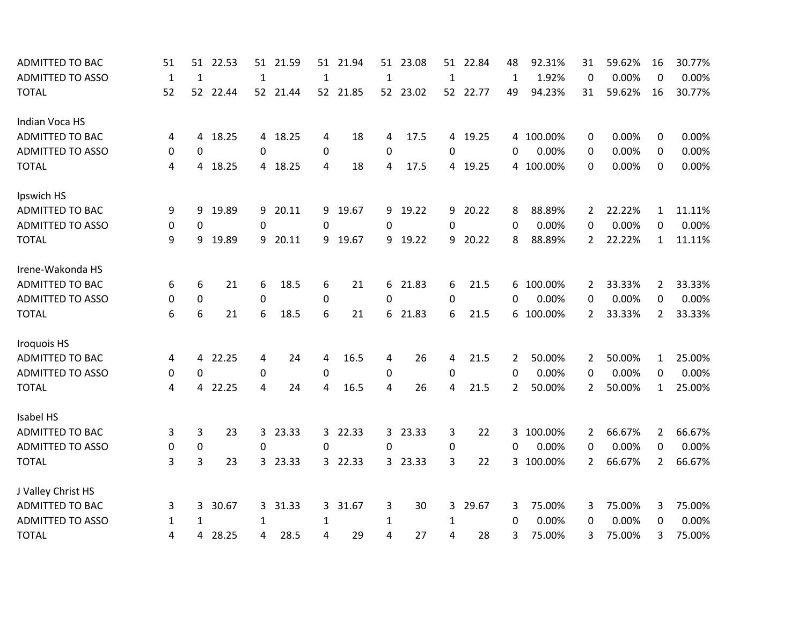| <b>ADMITTED TO BAC</b>  | 51           | 51           | 22.53 | 51             | 21.59    | 51           | 21.94    | 51           | 23.08    | 51           | 22.84    | 48           | 92.31%    | 31             | 59.62% | 16                    | 30.77% |
|-------------------------|--------------|--------------|-------|----------------|----------|--------------|----------|--------------|----------|--------------|----------|--------------|-----------|----------------|--------|-----------------------|--------|
| <b>ADMITTED TO ASSO</b> | $\mathbf{1}$ | $\mathbf{1}$ |       | $1\,$          |          | $\mathbf{1}$ |          | $\mathbf{1}$ |          | $\mathbf{1}$ |          | $\mathbf{1}$ | 1.92%     | 0              | 0.00%  | 0                     | 0.00%  |
| <b>TOTAL</b>            | 52           | 52           | 22.44 |                | 52 21.44 |              | 52 21.85 |              | 52 23.02 |              | 52 22.77 | 49           | 94.23%    | 31             | 59.62% | 16                    | 30.77% |
| Indian Voca HS          |              |              |       |                |          |              |          |              |          |              |          |              |           |                |        |                       |        |
| <b>ADMITTED TO BAC</b>  | 4            | 4            | 18.25 |                | 4 18.25  | 4            | 18       | 4            | 17.5     |              | 4 19.25  |              | 4 100.00% | 0              | 0.00%  | 0                     | 0.00%  |
| <b>ADMITTED TO ASSO</b> | 0            | $\Omega$     |       | $\Omega$       |          | $\Omega$     |          | 0            |          | $\Omega$     |          | $\Omega$     | 0.00%     | $\Omega$       | 0.00%  | $\Omega$              | 0.00%  |
| <b>TOTAL</b>            | 4            | 4            | 18.25 |                | 4 18.25  | 4            | 18       | 4            | 17.5     |              | 4 19.25  |              | 4 100.00% | 0              | 0.00%  | 0                     | 0.00%  |
| Ipswich HS              |              |              |       |                |          |              |          |              |          |              |          |              |           |                |        |                       |        |
| <b>ADMITTED TO BAC</b>  | 9            | 9            | 19.89 | 9              | 20.11    | 9            | 19.67    |              | 9 19.22  | 9            | 20.22    | 8            | 88.89%    | 2              | 22.22% | $\mathbf{1}$          | 11.11% |
| <b>ADMITTED TO ASSO</b> | 0            | 0            |       | 0              |          | 0            |          | 0            |          | 0            |          | $\Omega$     | 0.00%     | 0              | 0.00%  | 0                     | 0.00%  |
| <b>TOTAL</b>            | 9            | 9            | 19.89 |                | 9 20.11  | 9            | 19.67    |              | 9 19.22  | 9            | 20.22    | 8            | 88.89%    | 2              | 22.22% | $\mathbf{1}$          | 11.11% |
| Irene-Wakonda HS        |              |              |       |                |          |              |          |              |          |              |          |              |           |                |        |                       |        |
| <b>ADMITTED TO BAC</b>  | 6            | 6            | 21    | 6              | 18.5     | 6            | 21       |              | 6 21.83  | 6            | 21.5     | 6            | 100.00%   | 2              | 33.33% | $\mathbf{2}^{\prime}$ | 33.33% |
| <b>ADMITTED TO ASSO</b> | 0            | 0            |       | $\mathbf 0$    |          | $\Omega$     |          | 0            |          | $\Omega$     |          | $\Omega$     | 0.00%     | 0              | 0.00%  | 0                     | 0.00%  |
| <b>TOTAL</b>            | 6            | 6            | 21    | 6              | 18.5     | 6            | 21       | 6            | 21.83    | 6            | 21.5     | 6            | 100.00%   | $\overline{2}$ | 33.33% | $\overline{2}$        | 33.33% |
| <b>Iroquois HS</b>      |              |              |       |                |          |              |          |              |          |              |          |              |           |                |        |                       |        |
| <b>ADMITTED TO BAC</b>  | 4            | 4            | 22.25 | $\overline{4}$ | 24       | 4            | 16.5     | 4            | 26       | 4            | 21.5     | 2            | 50.00%    | 2              | 50.00% | 1                     | 25.00% |
| <b>ADMITTED TO ASSO</b> | 0            | 0            |       | $\pmb{0}$      |          | 0            |          | $\mathbf 0$  |          | 0            |          | 0            | 0.00%     | 0              | 0.00%  | 0                     | 0.00%  |
| <b>TOTAL</b>            | 4            | 4            | 22.25 | 4              | 24       | 4            | 16.5     | 4            | 26       | 4            | 21.5     | 2            | 50.00%    | 2              | 50.00% | $\mathbf{1}$          | 25.00% |
| Isabel HS               |              |              |       |                |          |              |          |              |          |              |          |              |           |                |        |                       |        |
| <b>ADMITTED TO BAC</b>  | 3            | 3            | 23    | $\overline{3}$ | 23.33    | 3            | 22.33    |              | 3 23.33  | 3            | 22       | 3            | 100.00%   | 2              | 66.67% | $\overline{2}$        | 66.67% |
| <b>ADMITTED TO ASSO</b> | 0            | 0            |       | 0              |          | 0            |          | 0            |          | 0            |          | 0            | 0.00%     | 0              | 0.00%  | 0                     | 0.00%  |
| <b>TOTAL</b>            | 3            | 3            | 23    |                | 3 23.33  | 3            | 22.33    |              | 3 23.33  | 3            | 22       |              | 3 100.00% | $\overline{2}$ | 66.67% | $\overline{2}$        | 66.67% |
| J Valley Christ HS      |              |              |       |                |          |              |          |              |          |              |          |              |           |                |        |                       |        |
| <b>ADMITTED TO BAC</b>  | 3            | 3            | 30.67 |                | 3 31.33  | 3            | 31.67    | 3            | 30       | $\mathbf{3}$ | 29.67    | 3            | 75.00%    | 3              | 75.00% | 3                     | 75.00% |
| <b>ADMITTED TO ASSO</b> | 1            | 1            |       | 1              |          | 1            |          | 1            |          | 1            |          | $\Omega$     | 0.00%     | 0              | 0.00%  | 0                     | 0.00%  |
| <b>TOTAL</b>            | 4            | 4            | 28.25 | 4              | 28.5     | 4            | 29       | 4            | 27       | 4            | 28       | 3            | 75.00%    | 3              | 75.00% | 3                     | 75.00% |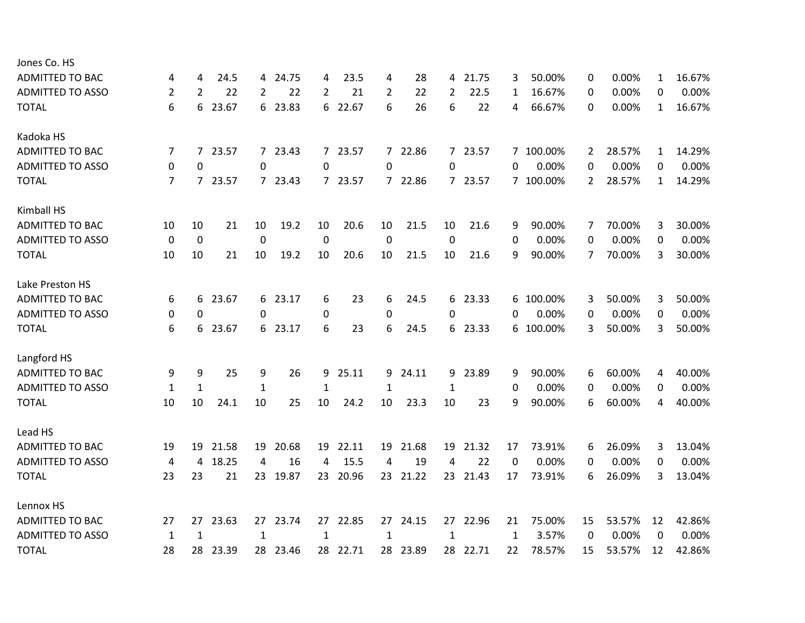| 4            | 4            | 24.5  |              |       | 4                                                                                                  | 23.5  | 4                                                 | 28    | 4                                                            | 21.75 | 3                                                               | 50.00%  | 0                                   | 0.00%  | 1            | 16.67% |
|--------------|--------------|-------|--------------|-------|----------------------------------------------------------------------------------------------------|-------|---------------------------------------------------|-------|--------------------------------------------------------------|-------|-----------------------------------------------------------------|---------|-------------------------------------|--------|--------------|--------|
| 2            | 2            | 22    | 2            | 22    | 2                                                                                                  | 21    | 2                                                 | 22    | 2                                                            | 22.5  | 1                                                               | 16.67%  | 0                                   | 0.00%  | 0            | 0.00%  |
| 6            | 6            | 23.67 |              |       |                                                                                                    | 22.67 | 6                                                 | 26    | 6                                                            | 22    | 4                                                               | 66.67%  | 0                                   | 0.00%  | $\mathbf{1}$ | 16.67% |
|              |              |       |              |       |                                                                                                    |       |                                                   |       |                                                              |       |                                                                 |         |                                     |        |              |        |
| 7            | 7            | 23.57 |              |       |                                                                                                    | 23.57 |                                                   |       |                                                              |       |                                                                 |         | $\overline{2}$                      | 28.57% | $\mathbf{1}$ | 14.29% |
| 0            | 0            |       | 0            |       | 0                                                                                                  |       | 0                                                 |       | 0                                                            |       | 0                                                               | 0.00%   | 0                                   | 0.00%  | 0            | 0.00%  |
| 7            |              |       |              |       |                                                                                                    | 23.57 |                                                   |       |                                                              |       |                                                                 |         | $\overline{2}$                      | 28.57% | $\mathbf{1}$ | 14.29% |
|              |              |       |              |       |                                                                                                    |       |                                                   |       |                                                              |       |                                                                 |         |                                     |        |              |        |
| 10           | 10           | 21    | 10           | 19.2  | 10                                                                                                 | 20.6  | 10                                                | 21.5  | 10                                                           | 21.6  | 9                                                               | 90.00%  | 7                                   | 70.00% | 3            | 30.00% |
| 0            | $\mathbf 0$  |       | 0            |       | $\mathbf 0$                                                                                        |       | $\mathbf 0$                                       |       | 0                                                            |       | 0                                                               | 0.00%   | 0                                   | 0.00%  | 0            | 0.00%  |
| 10           | 10           | 21    | 10           | 19.2  | 10                                                                                                 | 20.6  | 10                                                | 21.5  | 10                                                           | 21.6  | 9                                                               | 90.00%  | 7                                   | 70.00% | 3            | 30.00% |
|              |              |       |              |       |                                                                                                    |       |                                                   |       |                                                              |       |                                                                 |         |                                     |        |              |        |
| 6            | 6            | 23.67 |              |       | 6                                                                                                  | 23    | 6                                                 | 24.5  |                                                              | 23.33 | 6                                                               | 100.00% | 3                                   | 50.00% | 3            | 50.00% |
| 0            | 0            |       | 0            |       | 0                                                                                                  |       | 0                                                 |       | 0                                                            |       | 0                                                               | 0.00%   | 0                                   | 0.00%  | 0            | 0.00%  |
| 6            | 6            | 23.67 |              |       | 6                                                                                                  | 23    | 6                                                 | 24.5  |                                                              |       |                                                                 |         | 3                                   | 50.00% | 3            | 50.00% |
|              |              |       |              |       |                                                                                                    |       |                                                   |       |                                                              |       |                                                                 |         |                                     |        |              |        |
| 9            | 9            | 25    | 9            | 26    | 9                                                                                                  | 25.11 | 9                                                 | 24.11 |                                                              | 23.89 | 9                                                               | 90.00%  | 6                                   | 60.00% | 4            | 40.00% |
| $\mathbf{1}$ | $\mathbf{1}$ |       | $\mathbf{1}$ |       | $\mathbf{1}$                                                                                       |       | $\mathbf{1}$                                      |       | $\mathbf{1}$                                                 |       | 0                                                               | 0.00%   | 0                                   | 0.00%  | 0            | 0.00%  |
| 10           | 10           | 24.1  | 10           | 25    | 10                                                                                                 | 24.2  | 10                                                | 23.3  | 10                                                           | 23    | 9                                                               | 90.00%  | 6                                   | 60.00% | 4            | 40.00% |
|              |              |       |              |       |                                                                                                    |       |                                                   |       |                                                              |       |                                                                 |         |                                     |        |              |        |
| 19           | 19           | 21.58 | 19           | 20.68 | 19                                                                                                 | 22.11 |                                                   | 21.68 | 19                                                           | 21.32 | 17                                                              | 73.91%  | 6                                   | 26.09% | 3            | 13.04% |
| 4            | 4            | 18.25 | 4            | 16    | 4                                                                                                  | 15.5  | 4                                                 | 19    | 4                                                            | 22    | $\Omega$                                                        | 0.00%   | 0                                   | 0.00%  | 0            | 0.00%  |
| 23           | 23           | 21    |              |       |                                                                                                    | 20.96 |                                                   |       |                                                              | 21.43 | 17                                                              | 73.91%  | 6                                   | 26.09% | 3            | 13.04% |
|              |              |       |              |       |                                                                                                    |       |                                                   |       |                                                              |       |                                                                 |         |                                     |        |              |        |
| 27           | 27           | 23.63 |              |       |                                                                                                    | 22.85 |                                                   |       |                                                              |       | 21                                                              | 75.00%  | 15                                  | 53.57% | 12           | 42.86% |
| $\mathbf{1}$ | 1            |       | 1            |       | $\mathbf{1}$                                                                                       |       | 1                                                 |       | $\mathbf{1}$                                                 |       | $\mathbf{1}$                                                    | 3.57%   | 0                                   | 0.00%  | 0            | 0.00%  |
| 28           | 28           | 23.39 |              |       |                                                                                                    | 22.71 |                                                   |       |                                                              | 22.71 | 22                                                              | 78.57%  | 15                                  | 53.57% | 12           | 42.86% |
|              |              |       | 7 23.57      |       | 4 24.75<br>6 23.83<br>7 23.43<br>7 23.43<br>6 23.17<br>6 23.17<br>23 19.87<br>27 23.74<br>28 23.46 |       | 6<br>$7^{\circ}$<br>$7^{\circ}$<br>23<br>27<br>28 |       | 7 22.86<br>7 22.86<br>19<br>23 21.22<br>27 24.15<br>28 23.89 |       | 7 23.57<br>7 23.57<br>6<br>6 23.33<br>9<br>23<br>27 22.96<br>28 |         | 7 100.00%<br>7 100.00%<br>6 100.00% |        |              |        |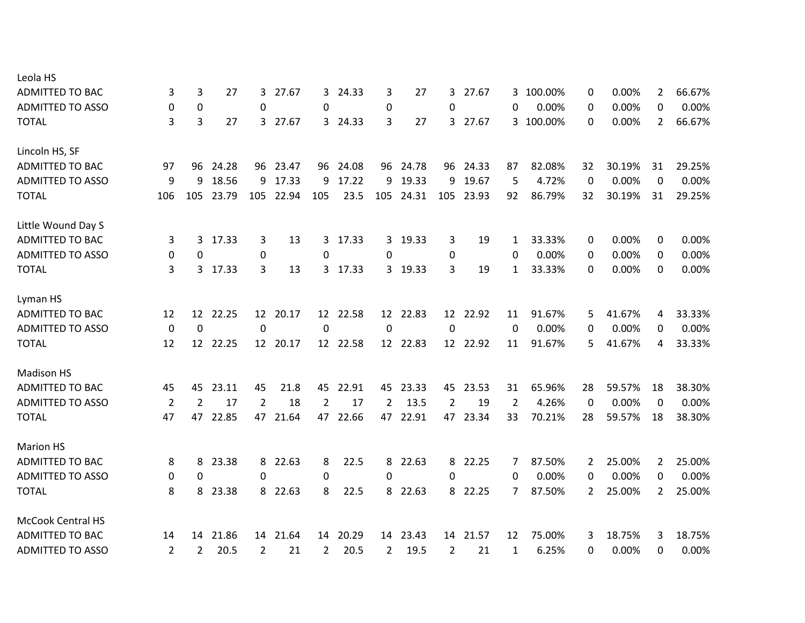| Leola HS                 |                |                |       |                |          |                 |          |              |          |             |          |                |         |                |        |                |        |
|--------------------------|----------------|----------------|-------|----------------|----------|-----------------|----------|--------------|----------|-------------|----------|----------------|---------|----------------|--------|----------------|--------|
| <b>ADMITTED TO BAC</b>   | 3              | 3              | 27    |                | 3 27.67  | 3               | 24.33    | 3            | 27       | 3           | 27.67    | 3.             | 100.00% | 0              | 0.00%  | $\overline{2}$ | 66.67% |
| <b>ADMITTED TO ASSO</b>  | 0              | 0              |       | 0              |          | 0               |          | $\pmb{0}$    |          | $\Omega$    |          | 0              | 0.00%   | 0              | 0.00%  | 0              | 0.00%  |
| <b>TOTAL</b>             | 3              | 3              | 27    | 3              | 27.67    | 3               | 24.33    | 3            | 27       | 3           | 27.67    | 3              | 100.00% | 0              | 0.00%  | $\overline{2}$ | 66.67% |
| Lincoln HS, SF           |                |                |       |                |          |                 |          |              |          |             |          |                |         |                |        |                |        |
| <b>ADMITTED TO BAC</b>   | 97             | 96             | 24.28 |                | 96 23.47 | 96              | 24.08    |              | 96 24.78 |             | 96 24.33 | 87             | 82.08%  | 32             | 30.19% | 31             | 29.25% |
| <b>ADMITTED TO ASSO</b>  | 9              | 9              | 18.56 | 9              | 17.33    | 9               | 17.22    | 9            | 19.33    | 9           | 19.67    | 5              | 4.72%   | 0              | 0.00%  | $\mathbf 0$    | 0.00%  |
| <b>TOTAL</b>             | 106            | 105            | 23.79 | 105            | 22.94    | 105             | 23.5     | 105          | 24.31    | 105         | 23.93    | 92             | 86.79%  | 32             | 30.19% | 31             | 29.25% |
| Little Wound Day S       |                |                |       |                |          |                 |          |              |          |             |          |                |         |                |        |                |        |
| <b>ADMITTED TO BAC</b>   | 3              | 3              | 17.33 | 3              | 13       | $\mathbf{3}$    | 17.33    | $\mathbf{3}$ | 19.33    | 3           | 19       | 1              | 33.33%  | 0              | 0.00%  | 0              | 0.00%  |
| <b>ADMITTED TO ASSO</b>  | 0              | 0              |       | $\pmb{0}$      |          | 0               |          | 0            |          | 0           |          | 0              | 0.00%   | 0              | 0.00%  | 0              | 0.00%  |
| <b>TOTAL</b>             | 3              | 3 <sup>1</sup> | 17.33 | 3              | 13       | $\mathbf{3}$    | 17.33    |              | 3 19.33  | 3           | 19       | $\mathbf{1}$   | 33.33%  | 0              | 0.00%  | 0              | 0.00%  |
| Lyman HS                 |                |                |       |                |          |                 |          |              |          |             |          |                |         |                |        |                |        |
| <b>ADMITTED TO BAC</b>   | 12             | 12             | 22.25 |                | 12 20.17 | 12 <sup>7</sup> | 22.58    |              | 12 22.83 |             | 12 22.92 | 11             | 91.67%  | 5              | 41.67% | 4              | 33.33% |
| <b>ADMITTED TO ASSO</b>  | $\mathbf 0$    | $\mathbf 0$    |       | $\mathbf 0$    |          | $\mathbf 0$     |          | $\mathbf 0$  |          | $\mathbf 0$ |          | $\Omega$       | 0.00%   | 0              | 0.00%  | 0              | 0.00%  |
| <b>TOTAL</b>             | 12             | 12             | 22.25 |                | 12 20.17 |                 | 12 22.58 |              | 12 22.83 |             | 12 22.92 | 11             | 91.67%  | 5              | 41.67% | 4              | 33.33% |
| <b>Madison HS</b>        |                |                |       |                |          |                 |          |              |          |             |          |                |         |                |        |                |        |
| <b>ADMITTED TO BAC</b>   | 45             | 45             | 23.11 | 45             | 21.8     | 45              | 22.91    | 45           | 23.33    | 45          | 23.53    | 31             | 65.96%  | 28             | 59.57% | 18             | 38.30% |
| <b>ADMITTED TO ASSO</b>  | $\overline{2}$ | 2              | 17    | $\overline{2}$ | 18       | $\overline{2}$  | 17       | 2            | 13.5     | 2           | 19       | $\overline{2}$ | 4.26%   | $\Omega$       | 0.00%  | $\mathbf{0}$   | 0.00%  |
| <b>TOTAL</b>             | 47             | 47             | 22.85 | 47             | 21.64    | 47              | 22.66    | 47           | 22.91    | 47          | 23.34    | 33             | 70.21%  | 28             | 59.57% | 18             | 38.30% |
| <b>Marion HS</b>         |                |                |       |                |          |                 |          |              |          |             |          |                |         |                |        |                |        |
| <b>ADMITTED TO BAC</b>   | 8              | 8              | 23.38 | 8              | 22.63    | 8               | 22.5     | 8            | 22.63    | 8           | 22.25    | 7              | 87.50%  | 2              | 25.00% | 2              | 25.00% |
| <b>ADMITTED TO ASSO</b>  | 0              | 0              |       | 0              |          | 0               |          | 0            |          | 0           |          | 0              | 0.00%   | 0              | 0.00%  | 0              | 0.00%  |
| <b>TOTAL</b>             | 8              | 8              | 23.38 |                | 8 22.63  | 8               | 22.5     |              | 8 22.63  |             | 8 22.25  | 7              | 87.50%  | $\overline{2}$ | 25.00% | $\overline{2}$ | 25.00% |
| <b>McCook Central HS</b> |                |                |       |                |          |                 |          |              |          |             |          |                |         |                |        |                |        |
| <b>ADMITTED TO BAC</b>   | 14             | 14             | 21.86 |                | 14 21.64 | 14              | 20.29    | 14           | 23.43    | 14          | 21.57    | 12             | 75.00%  | 3              | 18.75% | 3              | 18.75% |
| <b>ADMITTED TO ASSO</b>  | $\overline{2}$ | 2              | 20.5  | 2              | 21       | $\overline{2}$  | 20.5     | 2            | 19.5     | 2           | 21       | 1              | 6.25%   | 0              | 0.00%  | 0              | 0.00%  |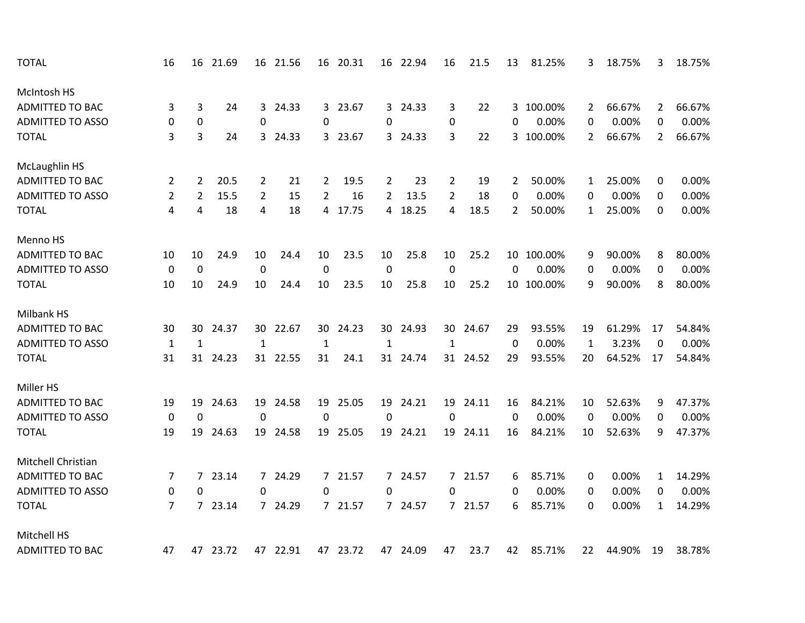| <b>TOTAL</b>            | 16               | 16             | 21.69 |                | 16 21.56 |                | 16 20.31 |                | 16 22.94 | 16               | 21.5     | 13          | 81.25%     | 3            | 18.75% | 3              | 18.75% |
|-------------------------|------------------|----------------|-------|----------------|----------|----------------|----------|----------------|----------|------------------|----------|-------------|------------|--------------|--------|----------------|--------|
| McIntosh HS             |                  |                |       |                |          |                |          |                |          |                  |          |             |            |              |        |                |        |
| <b>ADMITTED TO BAC</b>  | 3                | 3              | 24    | 3              | 24.33    | 3              | 23.67    |                | 3 24.33  | 3                | 22       |             | 3 100.00%  | 2            | 66.67% | $\mathbf{2}$   | 66.67% |
| <b>ADMITTED TO ASSO</b> | 0                | $\pmb{0}$      |       | 0              |          | 0              |          | 0              |          | $\mathbf 0$      |          | 0           | 0.00%      | 0            | 0.00%  | 0              | 0.00%  |
| <b>TOTAL</b>            | 3                | 3              | 24    |                | 3 24.33  |                | 3 23.67  |                | 3 24.33  | 3                | 22       |             | 3 100.00%  | 2            | 66.67% | $\overline{2}$ | 66.67% |
| McLaughlin HS           |                  |                |       |                |          |                |          |                |          |                  |          |             |            |              |        |                |        |
| ADMITTED TO BAC         | 2                | $\overline{2}$ | 20.5  | 2              | 21       | 2              | 19.5     | 2              | 23       | $\overline{2}$   | 19       | 2           | 50.00%     | 1            | 25.00% | 0              | 0.00%  |
| <b>ADMITTED TO ASSO</b> | $\overline{2}$   | $\overline{2}$ | 15.5  | $\overline{2}$ | 15       | $\overline{2}$ | 16       | $\overline{2}$ | 13.5     | 2                | 18       | 0           | 0.00%      | 0            | 0.00%  | 0              | 0.00%  |
| <b>TOTAL</b>            | 4                | 4              | 18    | 4              | 18       | 4              | 17.75    |                | 4 18.25  | 4                | 18.5     | 2           | 50.00%     | 1            | 25.00% | $\Omega$       | 0.00%  |
| Menno HS                |                  |                |       |                |          |                |          |                |          |                  |          |             |            |              |        |                |        |
| <b>ADMITTED TO BAC</b>  | 10               | 10             | 24.9  | 10             | 24.4     | 10             | 23.5     | 10             | 25.8     | 10               | 25.2     |             | 10 100.00% | 9            | 90.00% | 8              | 80.00% |
| <b>ADMITTED TO ASSO</b> | $\boldsymbol{0}$ | $\mathbf 0$    |       | $\pmb{0}$      |          | $\pmb{0}$      |          | $\pmb{0}$      |          | $\pmb{0}$        |          | $\mathbf 0$ | 0.00%      | 0            | 0.00%  | 0              | 0.00%  |
| <b>TOTAL</b>            | 10               | 10             | 24.9  | 10             | 24.4     | 10             | 23.5     | 10             | 25.8     | 10               | 25.2     |             | 10 100.00% | 9            | 90.00% | 8              | 80.00% |
| Milbank HS              |                  |                |       |                |          |                |          |                |          |                  |          |             |            |              |        |                |        |
| <b>ADMITTED TO BAC</b>  | 30               | 30             | 24.37 | 30             | 22.67    | 30             | 24.23    | 30             | 24.93    | 30               | 24.67    | 29          | 93.55%     | 19           | 61.29% | 17             | 54.84% |
| <b>ADMITTED TO ASSO</b> | $\mathbf{1}$     | $\mathbf{1}$   |       | $\mathbf{1}$   |          | $\mathbf{1}$   |          | $\mathbf{1}$   |          | $\mathbf{1}$     |          | 0           | 0.00%      | $\mathbf{1}$ | 3.23%  | 0              | 0.00%  |
| <b>TOTAL</b>            | 31               | 31             | 24.23 |                | 31 22.55 | 31             | 24.1     |                | 31 24.74 |                  | 31 24.52 | 29          | 93.55%     | 20           | 64.52% | 17             | 54.84% |
| Miller HS               |                  |                |       |                |          |                |          |                |          |                  |          |             |            |              |        |                |        |
| <b>ADMITTED TO BAC</b>  | 19               | 19             | 24.63 | 19             | 24.58    | 19             | 25.05    | 19             | 24.21    | 19               | 24.11    | 16          | 84.21%     | 10           | 52.63% | 9              | 47.37% |
| <b>ADMITTED TO ASSO</b> | $\pmb{0}$        | $\mathbf 0$    |       | $\mathbf 0$    |          | 0              |          | $\mathbf 0$    |          | $\boldsymbol{0}$ |          | 0           | 0.00%      | $\mathbf 0$  | 0.00%  | 0              | 0.00%  |
| <b>TOTAL</b>            | 19               | 19             | 24.63 | 19             | 24.58    | 19             | 25.05    |                | 19 24.21 | 19               | 24.11    | 16          | 84.21%     | 10           | 52.63% | 9              | 47.37% |
| Mitchell Christian      |                  |                |       |                |          |                |          |                |          |                  |          |             |            |              |        |                |        |
| <b>ADMITTED TO BAC</b>  | 7                | 7              | 23.14 |                | 7 24.29  | $7^{\circ}$    | 21.57    |                | 7 24.57  |                  | 7 21.57  | 6           | 85.71%     | 0            | 0.00%  | 1              | 14.29% |
| <b>ADMITTED TO ASSO</b> | $\pmb{0}$        | 0              |       | 0              |          | 0              |          | $\Omega$       |          | $\Omega$         |          | 0           | 0.00%      | 0            | 0.00%  | 0              | 0.00%  |
| <b>TOTAL</b>            | $\overline{7}$   | $\overline{7}$ | 23.14 |                | 7 24.29  | 7 <sup>7</sup> | 21.57    |                | 7 24.57  |                  | 7 21.57  | 6           | 85.71%     | 0            | 0.00%  | $\mathbf{1}$   | 14.29% |
| Mitchell HS             |                  |                |       |                |          |                |          |                |          |                  |          |             |            |              |        |                |        |
| <b>ADMITTED TO BAC</b>  | 47               | 47             | 23.72 |                | 47 22.91 |                | 47 23.72 |                | 47 24.09 | 47               | 23.7     | 42          | 85.71%     | 22           | 44.90% | 19             | 38.78% |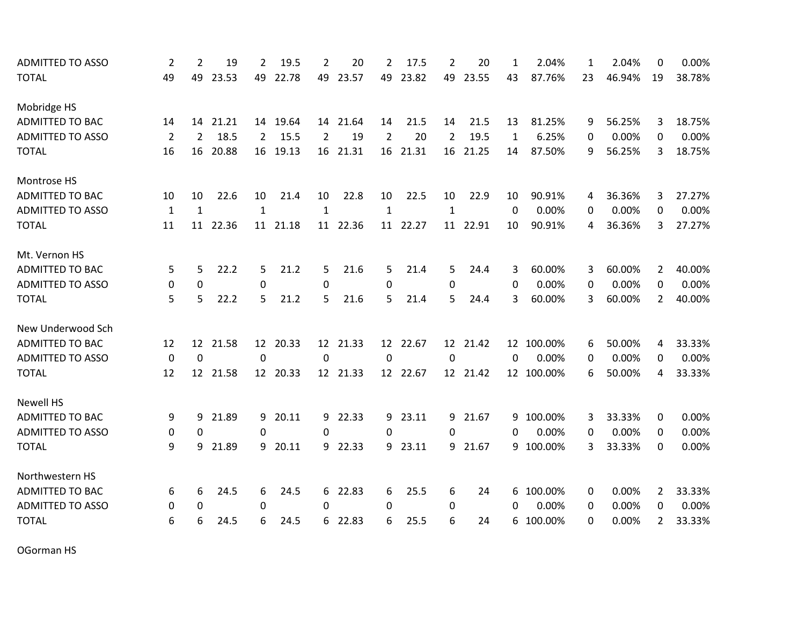| <b>ADMITTED TO ASSO</b> | 2              | 2              | 19    | $\overline{2}$ | 19.5     | $\overline{2}$ | 20       | 2              | 17.5     | 2              | 20       | 1           | 2.04%      | 1  | 2.04%  | 0                     | 0.00%  |
|-------------------------|----------------|----------------|-------|----------------|----------|----------------|----------|----------------|----------|----------------|----------|-------------|------------|----|--------|-----------------------|--------|
| <b>TOTAL</b>            | 49             | 49             | 23.53 | 49             | 22.78    | 49             | 23.57    | 49             | 23.82    | 49             | 23.55    | 43          | 87.76%     | 23 | 46.94% | 19                    | 38.78% |
| Mobridge HS             |                |                |       |                |          |                |          |                |          |                |          |             |            |    |        |                       |        |
| ADMITTED TO BAC         | 14             | 14             | 21.21 |                | 14 19.64 |                | 14 21.64 | 14             | 21.5     | 14             | 21.5     | 13          | 81.25%     | 9  | 56.25% | 3                     | 18.75% |
| <b>ADMITTED TO ASSO</b> | $\overline{2}$ | $\overline{2}$ | 18.5  | $\overline{2}$ | 15.5     | $\overline{2}$ | 19       | $\overline{2}$ | 20       | $\overline{2}$ | 19.5     | 1           | 6.25%      | 0  | 0.00%  | $\Omega$              | 0.00%  |
| <b>TOTAL</b>            | 16             | 16             | 20.88 |                | 16 19.13 | 16             | 21.31    | 16             | 21.31    | 16             | 21.25    | 14          | 87.50%     | 9  | 56.25% | 3                     | 18.75% |
| Montrose HS             |                |                |       |                |          |                |          |                |          |                |          |             |            |    |        |                       |        |
| <b>ADMITTED TO BAC</b>  | 10             | 10             | 22.6  | 10             | 21.4     | 10             | 22.8     | 10             | 22.5     | 10             | 22.9     | 10          | 90.91%     | 4  | 36.36% | 3                     | 27.27% |
| <b>ADMITTED TO ASSO</b> | $\mathbf{1}$   | $\mathbf{1}$   |       | $\mathbf{1}$   |          | $\mathbf{1}$   |          | $\mathbf{1}$   |          | $\mathbf{1}$   |          | 0           | 0.00%      | 0  | 0.00%  | 0                     | 0.00%  |
| <b>TOTAL</b>            | 11             | 11             | 22.36 | 11             | 21.18    | 11             | 22.36    | 11             | 22.27    | 11             | 22.91    | 10          | 90.91%     | 4  | 36.36% | 3                     | 27.27% |
| Mt. Vernon HS           |                |                |       |                |          |                |          |                |          |                |          |             |            |    |        |                       |        |
| <b>ADMITTED TO BAC</b>  | 5              | 5              | 22.2  | 5              | 21.2     | 5              | 21.6     | 5              | 21.4     | 5              | 24.4     | 3           | 60.00%     | 3  | 60.00% | $\overline{2}$        | 40.00% |
| <b>ADMITTED TO ASSO</b> | 0              | $\mathbf 0$    |       | 0              |          | 0              |          | 0              |          | 0              |          | 0           | 0.00%      | 0  | 0.00%  | 0                     | 0.00%  |
| <b>TOTAL</b>            | 5              | 5              | 22.2  | 5              | 21.2     | 5              | 21.6     | 5              | 21.4     | 5              | 24.4     | 3           | 60.00%     | 3  | 60.00% | $\overline{2}$        | 40.00% |
| New Underwood Sch       |                |                |       |                |          |                |          |                |          |                |          |             |            |    |        |                       |        |
| <b>ADMITTED TO BAC</b>  | 12             | 12             | 21.58 |                | 12 20.33 |                | 12 21.33 |                | 12 22.67 |                | 12 21.42 |             | 12 100.00% | 6  | 50.00% | 4                     | 33.33% |
| <b>ADMITTED TO ASSO</b> | $\mathbf 0$    | $\mathbf 0$    |       | $\mathbf 0$    |          | $\overline{0}$ |          | $\overline{0}$ |          | $\mathbf 0$    |          | $\mathbf 0$ | 0.00%      | 0  | 0.00%  | 0                     | 0.00%  |
| <b>TOTAL</b>            | 12             | 12             | 21.58 |                | 12 20.33 |                | 12 21.33 |                | 12 22.67 |                | 12 21.42 |             | 12 100.00% | 6  | 50.00% | 4                     | 33.33% |
| <b>Newell HS</b>        |                |                |       |                |          |                |          |                |          |                |          |             |            |    |        |                       |        |
| <b>ADMITTED TO BAC</b>  | 9              | 9              | 21.89 | 9              | 20.11    | 9              | 22.33    |                | 9 23.11  | 9              | 21.67    | 9           | 100.00%    | 3  | 33.33% | 0                     | 0.00%  |
| <b>ADMITTED TO ASSO</b> | 0              | 0              |       | 0              |          | 0              |          | 0              |          | $\mathbf 0$    |          | $\Omega$    | 0.00%      | 0  | 0.00%  | 0                     | 0.00%  |
| <b>TOTAL</b>            | 9              | 9              | 21.89 |                | 9 20.11  | 9              | 22.33    | 9              | 23.11    |                | 9 21.67  |             | 9 100.00%  | 3  | 33.33% | 0                     | 0.00%  |
| Northwestern HS         |                |                |       |                |          |                |          |                |          |                |          |             |            |    |        |                       |        |
| <b>ADMITTED TO BAC</b>  | 6              | 6              | 24.5  | 6              | 24.5     | 6              | 22.83    | 6              | 25.5     | 6              | 24       | 6           | 100.00%    | 0  | 0.00%  | $\mathbf{2}^{\prime}$ | 33.33% |
| <b>ADMITTED TO ASSO</b> | 0              | 0              |       | 0              |          | $\Omega$       |          | 0              |          | $\mathbf 0$    |          | 0           | 0.00%      | 0  | 0.00%  | 0                     | 0.00%  |
| <b>TOTAL</b>            | 6              | 6              | 24.5  | 6              | 24.5     | 6              | 22.83    | 6              | 25.5     | 6              | 24       | 6           | 100.00%    | 0  | 0.00%  | $\mathbf{2}^{\prime}$ | 33.33% |

OGorman HS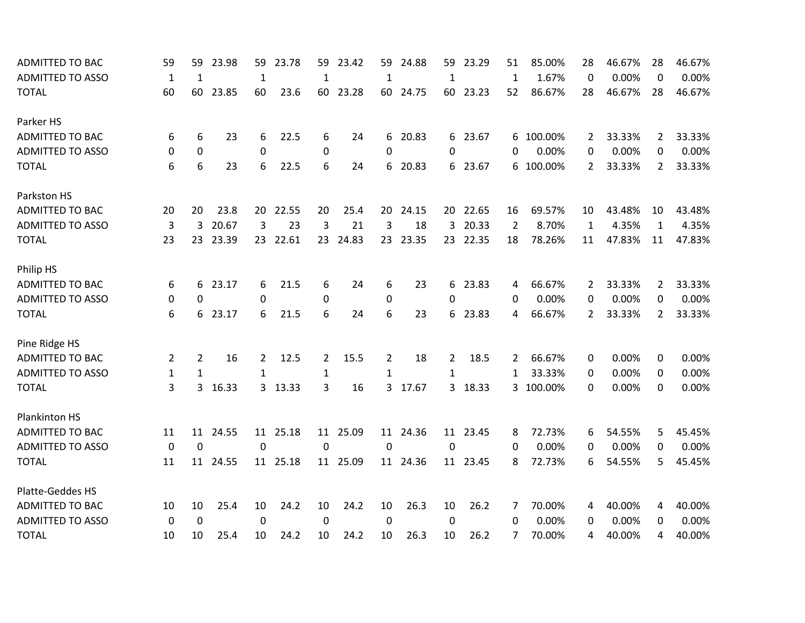| <b>ADMITTED TO BAC</b>  | 59           | 59             | 23.98    | 59           | 23.78    | 59           | 23.42    | 59           | 24.88    | 59           | 23.29    | 51             | 85.00%    | 28       | 46.67% | 28             | 46.67% |
|-------------------------|--------------|----------------|----------|--------------|----------|--------------|----------|--------------|----------|--------------|----------|----------------|-----------|----------|--------|----------------|--------|
| <b>ADMITTED TO ASSO</b> | 1            | 1              |          | 1            |          | 1            |          | 1            |          | 1            |          | $\mathbf{1}$   | 1.67%     | $\theta$ | 0.00%  | $\Omega$       | 0.00%  |
| <b>TOTAL</b>            | 60           | 60             | 23.85    | 60           | 23.6     | 60           | 23.28    |              | 60 24.75 | 60           | 23.23    | 52             | 86.67%    | 28       | 46.67% | 28             | 46.67% |
| Parker HS               |              |                |          |              |          |              |          |              |          |              |          |                |           |          |        |                |        |
| ADMITTED TO BAC         | 6            | 6              | 23       | 6            | 22.5     | 6            | 24       |              | 6 20.83  |              | 6 23.67  | 6              | 100.00%   | 2        | 33.33% | $\mathbf{2}$   | 33.33% |
| <b>ADMITTED TO ASSO</b> | 0            | 0              |          | 0            |          | 0            |          | 0            |          | 0            |          | 0              | 0.00%     | 0        | 0.00%  | 0              | 0.00%  |
| <b>TOTAL</b>            | 6            | 6              | 23       | 6            | 22.5     | 6            | 24       | 6.           | 20.83    |              | 6 23.67  | 6              | 100.00%   | 2        | 33.33% | $\overline{2}$ | 33.33% |
| Parkston HS             |              |                |          |              |          |              |          |              |          |              |          |                |           |          |        |                |        |
| <b>ADMITTED TO BAC</b>  | 20           | 20             | 23.8     | 20           | 22.55    | 20           | 25.4     | 20           | 24.15    | 20           | 22.65    | 16             | 69.57%    | 10       | 43.48% | 10             | 43.48% |
| <b>ADMITTED TO ASSO</b> | 3            | 3              | 20.67    | 3            | 23       | 3            | 21       | 3            | 18       | 3            | 20.33    | $\overline{2}$ | 8.70%     | 1        | 4.35%  | $\mathbf{1}$   | 4.35%  |
| <b>TOTAL</b>            | 23           | 23             | 23.39    |              | 23 22.61 | 23           | 24.83    |              | 23 23.35 |              | 23 22.35 | 18             | 78.26%    | 11       | 47.83% | 11             | 47.83% |
| Philip HS               |              |                |          |              |          |              |          |              |          |              |          |                |           |          |        |                |        |
| ADMITTED TO BAC         | 6            | 6              | 23.17    | 6            | 21.5     | 6            | 24       | 6            | 23       | 6            | 23.83    | 4              | 66.67%    | 2        | 33.33% | 2              | 33.33% |
| <b>ADMITTED TO ASSO</b> | 0            | $\Omega$       |          | 0            |          | 0            |          | 0            |          | $\Omega$     |          | 0              | 0.00%     | 0        | 0.00%  | 0              | 0.00%  |
| <b>TOTAL</b>            | 6            | 6              | 23.17    | 6            | 21.5     | 6            | 24       | 6            | 23       | 6            | 23.83    | 4              | 66.67%    | 2        | 33.33% | $\overline{2}$ | 33.33% |
| Pine Ridge HS           |              |                |          |              |          |              |          |              |          |              |          |                |           |          |        |                |        |
| <b>ADMITTED TO BAC</b>  | 2            | $\overline{2}$ | 16       | 2            | 12.5     | 2            | 15.5     | 2            | 18       | 2            | 18.5     | 2              | 66.67%    | 0        | 0.00%  | 0              | 0.00%  |
| <b>ADMITTED TO ASSO</b> | $\mathbf{1}$ | $\mathbf{1}$   |          | $\mathbf{1}$ |          | $\mathbf{1}$ |          | $\mathbf{1}$ |          | $\mathbf{1}$ |          | 1              | 33.33%    | 0        | 0.00%  | $\Omega$       | 0.00%  |
| <b>TOTAL</b>            | 3            | 3              | 16.33    |              | 3 13.33  | 3            | 16       | 3            | 17.67    |              | 3 18.33  |                | 3 100.00% | 0        | 0.00%  | 0              | 0.00%  |
| Plankinton HS           |              |                |          |              |          |              |          |              |          |              |          |                |           |          |        |                |        |
| <b>ADMITTED TO BAC</b>  | 11           | 11             | 24.55    |              | 11 25.18 |              | 11 25.09 |              | 11 24.36 |              | 11 23.45 | 8              | 72.73%    | 6        | 54.55% | 5              | 45.45% |
| <b>ADMITTED TO ASSO</b> | 0            | $\mathbf 0$    |          | $\mathbf 0$  |          | 0            |          | 0            |          | 0            |          | 0              | 0.00%     | 0        | 0.00%  | 0              | 0.00%  |
| <b>TOTAL</b>            | 11           |                | 11 24.55 |              | 11 25.18 |              | 11 25.09 |              | 11 24.36 |              | 11 23.45 | 8              | 72.73%    | 6        | 54.55% | 5.             | 45.45% |
| Platte-Geddes HS        |              |                |          |              |          |              |          |              |          |              |          |                |           |          |        |                |        |
| <b>ADMITTED TO BAC</b>  | 10           | 10             | 25.4     | 10           | 24.2     | 10           | 24.2     | 10           | 26.3     | 10           | 26.2     | 7              | 70.00%    | 4        | 40.00% | 4              | 40.00% |
| <b>ADMITTED TO ASSO</b> | $\mathbf 0$  | 0              |          | 0            |          | $\Omega$     |          | 0            |          | 0            |          | $\Omega$       | 0.00%     | 0        | 0.00%  | 0              | 0.00%  |
| <b>TOTAL</b>            | 10           | 10             | 25.4     | 10           | 24.2     | 10           | 24.2     | 10           | 26.3     | 10           | 26.2     | 7              | 70.00%    | 4        | 40.00% | 4              | 40.00% |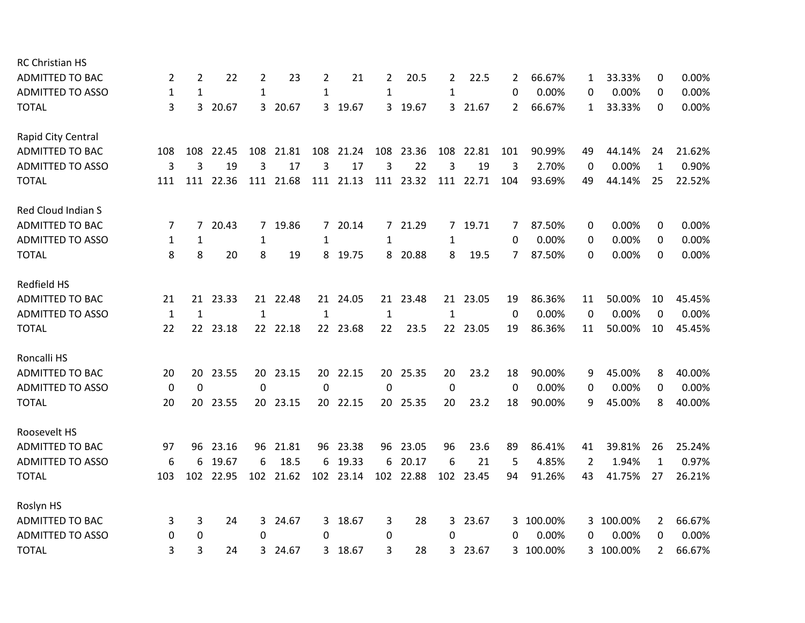| <b>RC Christian HS</b>  |             |     |           |                |           |                |           |     |           |             |           |          |           |    |           |                |        |
|-------------------------|-------------|-----|-----------|----------------|-----------|----------------|-----------|-----|-----------|-------------|-----------|----------|-----------|----|-----------|----------------|--------|
| <b>ADMITTED TO BAC</b>  | 2           | 2   | 22        | 2              | 23        | $\overline{2}$ | 21        | 2   | 20.5      | 2           | 22.5      | 2        | 66.67%    | 1  | 33.33%    | 0              | 0.00%  |
| <b>ADMITTED TO ASSO</b> | 1           | 1   |           | $\mathbf{1}$   |           | $\mathbf{1}$   |           | 1   |           | 1           |           | 0        | 0.00%     | 0  | 0.00%     | 0              | 0.00%  |
| <b>TOTAL</b>            | 3           | 3   | 20.67     |                | 3 20.67   | 3              | 19.67     |     | 3 19.67   |             | 3 21.67   | 2        | 66.67%    | 1  | 33.33%    | 0              | 0.00%  |
| Rapid City Central      |             |     |           |                |           |                |           |     |           |             |           |          |           |    |           |                |        |
| <b>ADMITTED TO BAC</b>  | 108         | 108 | 22.45     | 108            | 21.81     | 108            | 21.24     | 108 | 23.36     | 108         | 22.81     | 101      | 90.99%    | 49 | 44.14%    | 24             | 21.62% |
| <b>ADMITTED TO ASSO</b> | 3           | 3   | 19        | 3              | 17        | 3              | 17        | 3   | 22        | 3           | 19        | 3        | 2.70%     | 0  | 0.00%     | $\mathbf{1}$   | 0.90%  |
| <b>TOTAL</b>            | 111         |     | 111 22.36 |                | 111 21.68 |                | 111 21.13 |     | 111 23.32 |             | 111 22.71 | 104      | 93.69%    | 49 | 44.14%    | 25             | 22.52% |
| Red Cloud Indian S      |             |     |           |                |           |                |           |     |           |             |           |          |           |    |           |                |        |
| <b>ADMITTED TO BAC</b>  | 7           | 7   | 20.43     | $\overline{7}$ | 19.86     | 7              | 20.14     |     | 7 21.29   | $7^{\circ}$ | 19.71     | 7        | 87.50%    | 0  | 0.00%     | 0              | 0.00%  |
| <b>ADMITTED TO ASSO</b> | 1           | 1   |           | 1              |           | 1              |           | 1   |           | 1           |           | 0        | 0.00%     | 0  | 0.00%     | 0              | 0.00%  |
| <b>TOTAL</b>            | 8           | 8   | 20        | 8              | 19        | 8              | 19.75     |     | 8 20.88   | 8           | 19.5      | 7        | 87.50%    | 0  | 0.00%     | 0              | 0.00%  |
| Redfield HS             |             |     |           |                |           |                |           |     |           |             |           |          |           |    |           |                |        |
| <b>ADMITTED TO BAC</b>  | 21          | 21  | 23.33     |                | 21 22.48  | 21             | 24.05     | 21  | 23.48     |             | 21 23.05  | 19       | 86.36%    | 11 | 50.00%    | 10             | 45.45% |
| <b>ADMITTED TO ASSO</b> | 1           | 1   |           | $\mathbf{1}$   |           | 1              |           | 1   |           | 1           |           | $\Omega$ | 0.00%     | 0  | 0.00%     | $\mathbf 0$    | 0.00%  |
| <b>TOTAL</b>            | 22          |     | 22 23.18  |                | 22 22.18  |                | 22 23.68  | 22  | 23.5      |             | 22 23.05  | 19       | 86.36%    | 11 | 50.00%    | 10             | 45.45% |
| Roncalli HS             |             |     |           |                |           |                |           |     |           |             |           |          |           |    |           |                |        |
| <b>ADMITTED TO BAC</b>  | 20          | 20  | 23.55     |                | 20 23.15  | 20             | 22.15     | 20  | 25.35     | 20          | 23.2      | 18       | 90.00%    | 9  | 45.00%    | 8              | 40.00% |
| <b>ADMITTED TO ASSO</b> | 0           | 0   |           | 0              |           | $\Omega$       |           | 0   |           | 0           |           | 0        | 0.00%     | 0  | 0.00%     | 0              | 0.00%  |
| <b>TOTAL</b>            | 20          | 20  | 23.55     |                | 20 23.15  |                | 20 22.15  |     | 20 25.35  | 20          | 23.2      | 18       | 90.00%    | 9  | 45.00%    | 8              | 40.00% |
| Roosevelt HS            |             |     |           |                |           |                |           |     |           |             |           |          |           |    |           |                |        |
| ADMITTED TO BAC         | 97          | 96  | 23.16     |                | 96 21.81  | 96             | 23.38     |     | 96 23.05  | 96          | 23.6      | 89       | 86.41%    | 41 | 39.81%    | 26             | 25.24% |
| <b>ADMITTED TO ASSO</b> | 6           | 6   | 19.67     | 6              | 18.5      | 6              | 19.33     | 6   | 20.17     | 6           | 21        | 5        | 4.85%     | 2  | 1.94%     | $\mathbf{1}$   | 0.97%  |
| <b>TOTAL</b>            | 103         | 102 | 22.95     |                | 102 21.62 |                | 102 23.14 |     | 102 22.88 | 102         | 23.45     | 94       | 91.26%    | 43 | 41.75%    | 27             | 26.21% |
| Roslyn HS               |             |     |           |                |           |                |           |     |           |             |           |          |           |    |           |                |        |
| ADMITTED TO BAC         | 3           | 3   | 24        | 3              | 24.67     | 3              | 18.67     | 3   | 28        | 3           | 23.67     | 3.       | 100.00%   |    | 3 100.00% | 2              | 66.67% |
| <b>ADMITTED TO ASSO</b> | $\mathbf 0$ | 0   |           | 0              |           | $\Omega$       |           | 0   |           | $\Omega$    |           | 0        | 0.00%     | 0  | 0.00%     | 0              | 0.00%  |
| <b>TOTAL</b>            | 3           | 3   | 24        | 3              | 24.67     | 3              | 18.67     | 3   | 28        | 3           | 23.67     |          | 3 100.00% |    | 3 100.00% | $\overline{2}$ | 66.67% |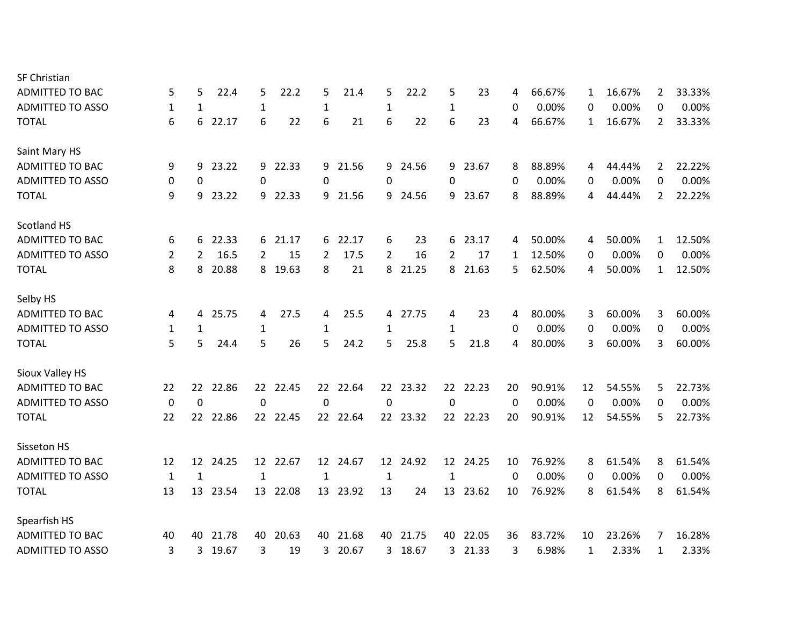| <b>SF Christian</b>     |              |                 |       |              |          |                 |          |                |          |                 |          |    |        |              |        |                |        |
|-------------------------|--------------|-----------------|-------|--------------|----------|-----------------|----------|----------------|----------|-----------------|----------|----|--------|--------------|--------|----------------|--------|
| <b>ADMITTED TO BAC</b>  | 5            | 5               | 22.4  | 5            | 22.2     | 5               | 21.4     | 5              | 22.2     | 5               | 23       | 4  | 66.67% | 1            | 16.67% | $\overline{2}$ | 33.33% |
| <b>ADMITTED TO ASSO</b> | 1            | 1               |       | $\mathbf 1$  |          | $\mathbf{1}$    |          | $\mathbf{1}$   |          | 1               |          | 0  | 0.00%  | 0            | 0.00%  | 0              | 0.00%  |
| <b>TOTAL</b>            | 6            | 6               | 22.17 | 6            | 22       | 6               | 21       | 6              | 22       | 6               | 23       | 4  | 66.67% | 1            | 16.67% | $\overline{2}$ | 33.33% |
| Saint Mary HS           |              |                 |       |              |          |                 |          |                |          |                 |          |    |        |              |        |                |        |
| <b>ADMITTED TO BAC</b>  | 9            | 9               | 23.22 |              | 9 22.33  | 9               | 21.56    |                | 9 24.56  |                 | 9 23.67  | 8  | 88.89% | 4            | 44.44% | 2              | 22.22% |
| <b>ADMITTED TO ASSO</b> | 0            | 0               |       | 0            |          | $\Omega$        |          | 0              |          | 0               |          | 0  | 0.00%  | 0            | 0.00%  | 0              | 0.00%  |
| <b>TOTAL</b>            | 9            | 9               | 23.22 | 9            | 22.33    | 9               | 21.56    | 9              | 24.56    | 9               | 23.67    | 8  | 88.89% | 4            | 44.44% | $\overline{2}$ | 22.22% |
| <b>Scotland HS</b>      |              |                 |       |              |          |                 |          |                |          |                 |          |    |        |              |        |                |        |
| <b>ADMITTED TO BAC</b>  | 6            | 6               | 22.33 |              | 6 21.17  | 6               | 22.17    | 6              | 23       | 6               | 23.17    | 4  | 50.00% | 4            | 50.00% | $\mathbf{1}$   | 12.50% |
| <b>ADMITTED TO ASSO</b> | 2            | 2               | 16.5  | 2            | 15       | 2               | 17.5     | $\overline{2}$ | 16       | $\overline{2}$  | 17       | 1  | 12.50% | 0            | 0.00%  | $\Omega$       | 0.00%  |
| <b>TOTAL</b>            | 8            | 8               | 20.88 |              | 8 19.63  | 8               | 21       | 8              | 21.25    |                 | 8 21.63  | 5  | 62.50% | 4            | 50.00% | $\mathbf{1}$   | 12.50% |
| Selby HS                |              |                 |       |              |          |                 |          |                |          |                 |          |    |        |              |        |                |        |
| <b>ADMITTED TO BAC</b>  | 4            | 4               | 25.75 | 4            | 27.5     | 4               | 25.5     |                | 4 27.75  | 4               | 23       | 4  | 80.00% | 3            | 60.00% | 3              | 60.00% |
| <b>ADMITTED TO ASSO</b> | 1            | 1               |       | 1            |          | 1               |          | 1              |          | 1               |          | 0  | 0.00%  | 0            | 0.00%  | 0              | 0.00%  |
| <b>TOTAL</b>            | 5            | 5               | 24.4  | 5            | 26       | 5               | 24.2     | 5              | 25.8     | 5               | 21.8     | 4  | 80.00% | 3            | 60.00% | 3              | 60.00% |
| Sioux Valley HS         |              |                 |       |              |          |                 |          |                |          |                 |          |    |        |              |        |                |        |
| <b>ADMITTED TO BAC</b>  | 22           | 22              | 22.86 | 22           | 22.45    | 22              | 22.64    | 22             | 23.32    |                 | 22 22.23 | 20 | 90.91% | 12           | 54.55% | 5              | 22.73% |
| <b>ADMITTED TO ASSO</b> | $\mathbf 0$  | $\mathbf 0$     |       | 0            |          | $\Omega$        |          | 0              |          | $\mathbf 0$     |          | 0  | 0.00%  | 0            | 0.00%  | 0              | 0.00%  |
| <b>TOTAL</b>            | 22           | 22 <sub>2</sub> | 22.86 |              | 22 22.45 |                 | 22 22.64 |                | 22 23.32 |                 | 22 22.23 | 20 | 90.91% | 12           | 54.55% | 5              | 22.73% |
| Sisseton HS             |              |                 |       |              |          |                 |          |                |          |                 |          |    |        |              |        |                |        |
| <b>ADMITTED TO BAC</b>  | 12           | 12              | 24.25 | 12           | 22.67    | 12 <sup>2</sup> | 24.67    | 12             | 24.92    | 12 <sup>2</sup> | 24.25    | 10 | 76.92% | 8            | 61.54% | 8              | 61.54% |
| <b>ADMITTED TO ASSO</b> | $\mathbf{1}$ | $\mathbf{1}$    |       | $\mathbf{1}$ |          | $\mathbf{1}$    |          | $\mathbf{1}$   |          | $\mathbf{1}$    |          | 0  | 0.00%  | 0            | 0.00%  | 0              | 0.00%  |
| <b>TOTAL</b>            | 13           | 13              | 23.54 | 13           | 22.08    | 13              | 23.92    | 13             | 24       | 13              | 23.62    | 10 | 76.92% | 8            | 61.54% | 8              | 61.54% |
| Spearfish HS            |              |                 |       |              |          |                 |          |                |          |                 |          |    |        |              |        |                |        |
| <b>ADMITTED TO BAC</b>  | 40           | 40              | 21.78 | 40.          | 20.63    | 40.             | 21.68    |                | 40 21.75 | 40.             | 22.05    | 36 | 83.72% | 10           | 23.26% | 7              | 16.28% |
| <b>ADMITTED TO ASSO</b> | 3            | 3               | 19.67 | 3            | 19       | 3               | 20.67    | 3              | 18.67    | 3               | 21.33    | 3  | 6.98%  | $\mathbf{1}$ | 2.33%  | $\mathbf{1}$   | 2.33%  |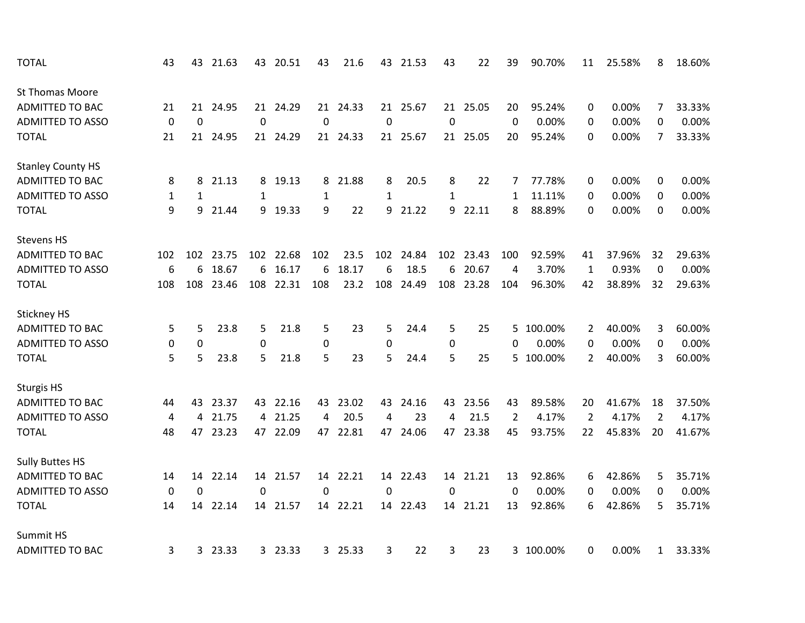| <b>TOTAL</b>             | 43           | 43          | 21.63   |             | 43 20.51  | 43           | 21.6     | 43          | 21.53    | 43          | 22        | 39             | 90.70%    | 11             | 25.58% | 8              | 18.60% |
|--------------------------|--------------|-------------|---------|-------------|-----------|--------------|----------|-------------|----------|-------------|-----------|----------------|-----------|----------------|--------|----------------|--------|
| <b>St Thomas Moore</b>   |              |             |         |             |           |              |          |             |          |             |           |                |           |                |        |                |        |
| <b>ADMITTED TO BAC</b>   | 21           | 21          | 24.95   |             | 21 24.29  |              | 21 24.33 |             | 21 25.67 |             | 21 25.05  | 20             | 95.24%    | 0              | 0.00%  | 7              | 33.33% |
| <b>ADMITTED TO ASSO</b>  | $\mathbf 0$  | $\mathbf 0$ |         | $\mathbf 0$ |           | $\mathbf 0$  |          | $\mathbf 0$ |          | $\mathbf 0$ |           | 0              | 0.00%     | 0              | 0.00%  | 0              | 0.00%  |
| <b>TOTAL</b>             | 21           | 21          | 24.95   |             | 21 24.29  |              | 21 24.33 |             | 21 25.67 |             | 21 25.05  | 20             | 95.24%    | $\Omega$       | 0.00%  | 7              | 33.33% |
| <b>Stanley County HS</b> |              |             |         |             |           |              |          |             |          |             |           |                |           |                |        |                |        |
| <b>ADMITTED TO BAC</b>   | 8            | 8           | 21.13   | 8           | 19.13     | 8            | 21.88    | 8           | 20.5     | 8           | 22        | 7              | 77.78%    | 0              | 0.00%  | 0              | 0.00%  |
| <b>ADMITTED TO ASSO</b>  | $\mathbf{1}$ | 1           |         | 1           |           | $\mathbf{1}$ |          | 1           |          | 1           |           | 1              | 11.11%    | 0              | 0.00%  | 0              | 0.00%  |
| <b>TOTAL</b>             | 9            | 9           | 21.44   |             | 9 19.33   | 9            | 22       | 9           | 21.22    | 9           | 22.11     | 8              | 88.89%    | $\Omega$       | 0.00%  | 0              | 0.00%  |
| <b>Stevens HS</b>        |              |             |         |             |           |              |          |             |          |             |           |                |           |                |        |                |        |
| <b>ADMITTED TO BAC</b>   | 102          | 102         | 23.75   |             | 102 22.68 | 102          | 23.5     | 102         | 24.84    |             | 102 23.43 | 100            | 92.59%    | 41             | 37.96% | 32             | 29.63% |
| <b>ADMITTED TO ASSO</b>  | 6            | 6           | 18.67   | 6           | 16.17     | 6            | 18.17    | 6           | 18.5     | 6           | 20.67     | 4              | 3.70%     | $\mathbf{1}$   | 0.93%  | $\mathbf 0$    | 0.00%  |
| <b>TOTAL</b>             | 108          | 108         | 23.46   |             | 108 22.31 | 108          | 23.2     | 108         | 24.49    | 108         | 23.28     | 104            | 96.30%    | 42             | 38.89% | 32             | 29.63% |
| Stickney HS              |              |             |         |             |           |              |          |             |          |             |           |                |           |                |        |                |        |
| <b>ADMITTED TO BAC</b>   | 5            | 5           | 23.8    | 5           | 21.8      | 5            | 23       | 5           | 24.4     | 5           | 25        | 5              | 100.00%   | 2              | 40.00% | 3              | 60.00% |
| <b>ADMITTED TO ASSO</b>  | 0            | $\mathbf 0$ |         | 0           |           | $\mathbf 0$  |          | $\mathbf 0$ |          | 0           |           | 0              | 0.00%     | 0              | 0.00%  | 0              | 0.00%  |
| <b>TOTAL</b>             | 5            | 5           | 23.8    | 5           | 21.8      | 5            | 23       | 5           | 24.4     | 5           | 25        | 5              | 100.00%   | $\overline{2}$ | 40.00% | 3              | 60.00% |
| <b>Sturgis HS</b>        |              |             |         |             |           |              |          |             |          |             |           |                |           |                |        |                |        |
| <b>ADMITTED TO BAC</b>   | 44           | 43          | 23.37   |             | 43 22.16  | 43           | 23.02    | 43          | 24.16    | 43          | 23.56     | 43             | 89.58%    | 20             | 41.67% | 18             | 37.50% |
| <b>ADMITTED TO ASSO</b>  | 4            | 4           | 21.75   | 4           | 21.25     | 4            | 20.5     | 4           | 23       | 4           | 21.5      | $\overline{2}$ | 4.17%     | $\overline{2}$ | 4.17%  | $\overline{2}$ | 4.17%  |
| <b>TOTAL</b>             | 48           | 47          | 23.23   |             | 47 22.09  | 47           | 22.81    | 47          | 24.06    | 47          | 23.38     | 45             | 93.75%    | 22             | 45.83% | 20             | 41.67% |
| <b>Sully Buttes HS</b>   |              |             |         |             |           |              |          |             |          |             |           |                |           |                |        |                |        |
| <b>ADMITTED TO BAC</b>   | 14           | 14          | 22.14   |             | 14 21.57  | 14           | 22.21    | 14          | 22.43    | 14          | 21.21     | 13             | 92.86%    | 6              | 42.86% | 5              | 35.71% |
| <b>ADMITTED TO ASSO</b>  | 0            | 0           |         | $\mathbf 0$ |           | 0            |          | 0           |          | 0           |           | 0              | 0.00%     | 0              | 0.00%  | 0              | 0.00%  |
| <b>TOTAL</b>             | 14           | 14          | 22.14   |             | 14 21.57  |              | 14 22.21 |             | 14 22.43 |             | 14 21.21  | 13             | 92.86%    | 6              | 42.86% | 5              | 35.71% |
| Summit HS                |              |             |         |             |           |              |          |             |          |             |           |                |           |                |        |                |        |
| <b>ADMITTED TO BAC</b>   | 3            |             | 3 23.33 |             | 3 23.33   |              | 3 25.33  | 3           | 22       | 3           | 23        |                | 3 100.00% | 0              | 0.00%  | $\mathbf{1}$   | 33.33% |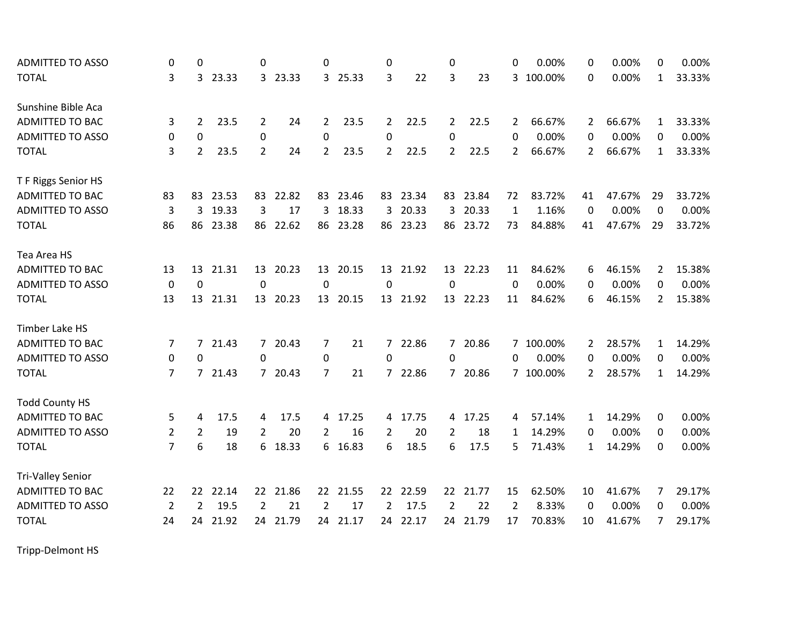| <b>ADMITTED TO ASSO</b>  | 0              | 0              |         | 0              |          | 0              |          | 0              |          | 0              |          | 0           | 0.00%     | 0              | 0.00%  | 0              | 0.00%  |
|--------------------------|----------------|----------------|---------|----------------|----------|----------------|----------|----------------|----------|----------------|----------|-------------|-----------|----------------|--------|----------------|--------|
| <b>TOTAL</b>             | 3              |                | 3 23.33 |                | 3 23.33  |                | 3 25.33  | 3              | 22       | 3              | 23       |             | 3 100.00% | 0              | 0.00%  | $\mathbf{1}$   | 33.33% |
| Sunshine Bible Aca       |                |                |         |                |          |                |          |                |          |                |          |             |           |                |        |                |        |
| <b>ADMITTED TO BAC</b>   | 3              | $\overline{2}$ | 23.5    | 2              | 24       | $\mathbf{2}$   | 23.5     | $\overline{2}$ | 22.5     | $\overline{2}$ | 22.5     | 2           | 66.67%    | 2              | 66.67% | 1              | 33.33% |
| <b>ADMITTED TO ASSO</b>  | 0              | $\mathbf 0$    |         | 0              |          | $\mathbf 0$    |          | $\mathbf 0$    |          | $\mathbf 0$    |          | $\Omega$    | 0.00%     | 0              | 0.00%  | 0              | 0.00%  |
| <b>TOTAL</b>             | 3              | $\overline{2}$ | 23.5    | 2              | 24       | $\overline{2}$ | 23.5     | $\mathbf{2}$   | 22.5     | $\overline{2}$ | 22.5     | 2           | 66.67%    | 2              | 66.67% | $\mathbf{1}$   | 33.33% |
| T F Riggs Senior HS      |                |                |         |                |          |                |          |                |          |                |          |             |           |                |        |                |        |
| <b>ADMITTED TO BAC</b>   | 83             | 83             | 23.53   | 83             | 22.82    | 83             | 23.46    |                | 83 23.34 | 83             | 23.84    | 72          | 83.72%    | 41             | 47.67% | 29             | 33.72% |
| <b>ADMITTED TO ASSO</b>  | 3              | 3              | 19.33   | 3              | 17       | 3              | 18.33    | $\overline{3}$ | 20.33    | 3              | 20.33    | $\mathbf 1$ | 1.16%     | 0              | 0.00%  | 0              | 0.00%  |
| <b>TOTAL</b>             | 86             | 86             | 23.38   | 86             | 22.62    | 86             | 23.28    |                | 86 23.23 | 86             | 23.72    | 73          | 84.88%    | 41             | 47.67% | 29             | 33.72% |
| Tea Area HS              |                |                |         |                |          |                |          |                |          |                |          |             |           |                |        |                |        |
| ADMITTED TO BAC          | 13             | 13             | 21.31   |                | 13 20.23 |                | 13 20.15 |                | 13 21.92 |                | 13 22.23 | 11          | 84.62%    | 6              | 46.15% | 2              | 15.38% |
| <b>ADMITTED TO ASSO</b>  | $\mathbf 0$    | $\mathbf 0$    |         | $\mathbf 0$    |          | $\mathbf 0$    |          | $\mathbf 0$    |          | $\mathbf 0$    |          | $\mathbf 0$ | 0.00%     | 0              | 0.00%  | 0              | 0.00%  |
| <b>TOTAL</b>             | 13             | 13             | 21.31   |                | 13 20.23 | 13             | 20.15    |                | 13 21.92 | 13             | 22.23    | 11          | 84.62%    | 6              | 46.15% | $\overline{2}$ | 15.38% |
| Timber Lake HS           |                |                |         |                |          |                |          |                |          |                |          |             |           |                |        |                |        |
| <b>ADMITTED TO BAC</b>   | 7              | $\overline{7}$ | 21.43   |                | 7 20.43  | 7              | 21       |                | 7 22.86  |                | 7 20.86  |             | 7 100.00% | 2              | 28.57% | $\mathbf{1}$   | 14.29% |
| <b>ADMITTED TO ASSO</b>  | 0              | 0              |         | 0              |          | 0              |          | $\Omega$       |          | $\mathbf{0}$   |          | 0           | 0.00%     | 0              | 0.00%  | 0              | 0.00%  |
| <b>TOTAL</b>             | 7              | 7              | 21.43   |                | 7 20.43  | 7              | 21       |                | 7 22.86  |                | 7 20.86  |             | 7 100.00% | $\overline{2}$ | 28.57% | $\mathbf{1}$   | 14.29% |
| <b>Todd County HS</b>    |                |                |         |                |          |                |          |                |          |                |          |             |           |                |        |                |        |
| <b>ADMITTED TO BAC</b>   | 5              | 4              | 17.5    | 4              | 17.5     | 4              | 17.25    |                | 4 17.75  | $\overline{4}$ | 17.25    | 4           | 57.14%    | 1              | 14.29% | 0              | 0.00%  |
| <b>ADMITTED TO ASSO</b>  | $\overline{2}$ | $\overline{2}$ | 19      | $\overline{2}$ | 20       | $\overline{2}$ | 16       | 2              | 20       | $\overline{2}$ | 18       | 1           | 14.29%    | 0              | 0.00%  | 0              | 0.00%  |
| <b>TOTAL</b>             | $\overline{7}$ | 6              | 18      |                | 6 18.33  |                | 6 16.83  | 6              | 18.5     | 6              | 17.5     | 5           | 71.43%    | $\mathbf{1}$   | 14.29% | 0              | 0.00%  |
| <b>Tri-Valley Senior</b> |                |                |         |                |          |                |          |                |          |                |          |             |           |                |        |                |        |
| ADMITTED TO BAC          | 22             | 22             | 22.14   |                | 22 21.86 | 22             | 21.55    |                | 22 22.59 | 22             | 21.77    | 15          | 62.50%    | 10             | 41.67% | 7              | 29.17% |
| <b>ADMITTED TO ASSO</b>  | $\overline{2}$ | 2              | 19.5    | $\overline{2}$ | 21       | $\overline{2}$ | 17       | $\overline{2}$ | 17.5     | 2              | 22       | 2           | 8.33%     | $\mathbf 0$    | 0.00%  | 0              | 0.00%  |
| <b>TOTAL</b>             | 24             | 24             | 21.92   | 24.            | 21.79    |                | 24 21.17 | 24             | 22.17    | 24             | 21.79    | 17          | 70.83%    | 10             | 41.67% | 7              | 29.17% |

Tripp-Delmont HS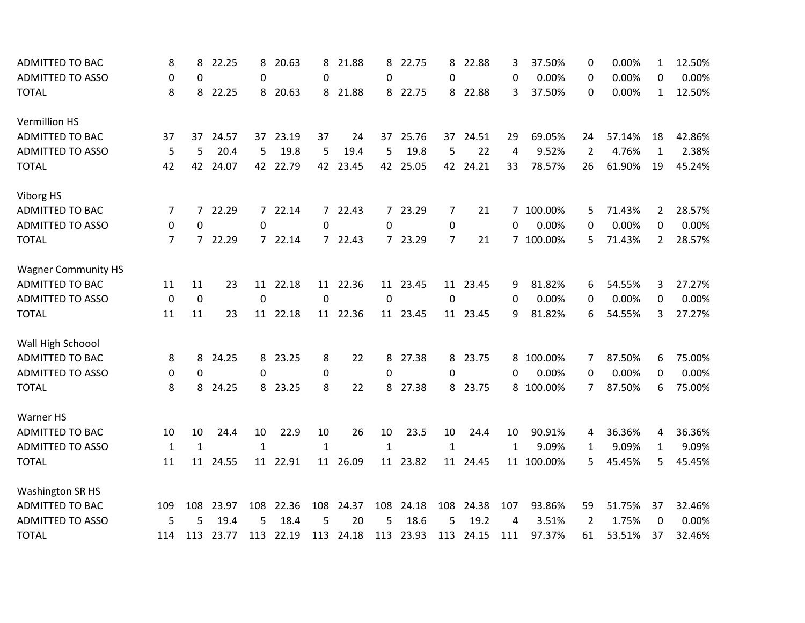| <b>ADMITTED TO BAC</b>     | 8            | 8              | 22.25     | 8           | 20.63     | 8            | 21.88     | 8            | 22.75     | 8              | 22.88     | 3        | 37.50%     | 0  | 0.00%  | $\mathbf{1}$   | 12.50% |
|----------------------------|--------------|----------------|-----------|-------------|-----------|--------------|-----------|--------------|-----------|----------------|-----------|----------|------------|----|--------|----------------|--------|
| <b>ADMITTED TO ASSO</b>    | 0            | 0              |           | 0           |           | $\Omega$     |           | 0            |           | $\Omega$       |           | 0        | 0.00%      | 0  | 0.00%  | 0              | 0.00%  |
| <b>TOTAL</b>               | 8            | 8              | 22.25     |             | 8 20.63   |              | 8 21.88   |              | 8 22.75   |                | 8 22.88   | 3        | 37.50%     | 0  | 0.00%  | $\mathbf{1}$   | 12.50% |
| <b>Vermillion HS</b>       |              |                |           |             |           |              |           |              |           |                |           |          |            |    |        |                |        |
| <b>ADMITTED TO BAC</b>     | 37           | 37             | 24.57     |             | 37 23.19  | 37           | 24        |              | 37 25.76  | 37             | 24.51     | 29       | 69.05%     | 24 | 57.14% | 18             | 42.86% |
| <b>ADMITTED TO ASSO</b>    | 5            | 5              | 20.4      | 5           | 19.8      | 5            | 19.4      | 5            | 19.8      | 5              | 22        | 4        | 9.52%      | 2  | 4.76%  | $\mathbf{1}$   | 2.38%  |
| <b>TOTAL</b>               | 42           | 42             | 24.07     | 42          | 22.79     | 42           | 23.45     | 42           | 25.05     | 42             | 24.21     | 33       | 78.57%     | 26 | 61.90% | 19             | 45.24% |
| Viborg HS                  |              |                |           |             |           |              |           |              |           |                |           |          |            |    |        |                |        |
| <b>ADMITTED TO BAC</b>     | 7            | 7              | 22.29     |             | 7 22.14   | $7^{\circ}$  | 22.43     |              | 7 23.29   | 7              | 21        | 7        | 100.00%    | 5  | 71.43% | 2              | 28.57% |
| <b>ADMITTED TO ASSO</b>    | 0            | 0              |           | 0           |           | $\Omega$     |           | 0            |           | 0              |           | 0        | 0.00%      | 0  | 0.00%  | 0              | 0.00%  |
| <b>TOTAL</b>               | 7            | $\overline{7}$ | 22.29     |             | 7 22.14   | $7^{\circ}$  | 22.43     |              | 7 23.29   | $\overline{7}$ | 21        |          | 7 100.00%  | 5  | 71.43% | $\overline{2}$ | 28.57% |
| <b>Wagner Community HS</b> |              |                |           |             |           |              |           |              |           |                |           |          |            |    |        |                |        |
| <b>ADMITTED TO BAC</b>     | 11           | 11             | 23        |             | 11 22.18  |              | 11 22.36  |              | 11 23.45  |                | 11 23.45  | 9        | 81.82%     | 6  | 54.55% | 3              | 27.27% |
| <b>ADMITTED TO ASSO</b>    | $\Omega$     | $\mathbf 0$    |           | $\Omega$    |           | $\Omega$     |           | $\Omega$     |           | $\Omega$       |           | $\Omega$ | 0.00%      | 0  | 0.00%  | 0              | 0.00%  |
| <b>TOTAL</b>               | 11           | 11             | 23        |             | 11 22.18  |              | 11 22.36  |              | 11 23.45  |                | 11 23.45  | 9        | 81.82%     | 6  | 54.55% | 3              | 27.27% |
| Wall High Schoool          |              |                |           |             |           |              |           |              |           |                |           |          |            |    |        |                |        |
| <b>ADMITTED TO BAC</b>     | 8            | 8              | 24.25     |             | 8 23.25   | 8            | 22        |              | 8 27.38   | 8              | 23.75     | 8        | 100.00%    | 7  | 87.50% | 6              | 75.00% |
| <b>ADMITTED TO ASSO</b>    | 0            | 0              |           | $\Omega$    |           | 0            |           | $\Omega$     |           | $\Omega$       |           | 0        | 0.00%      | 0  | 0.00%  | 0              | 0.00%  |
| <b>TOTAL</b>               | 8            | 8              | 24.25     | 8           | 23.25     | 8            | 22        | 8            | 27.38     | 8              | 23.75     | 8        | 100.00%    | 7  | 87.50% | 6              | 75.00% |
| Warner HS                  |              |                |           |             |           |              |           |              |           |                |           |          |            |    |        |                |        |
| ADMITTED TO BAC            | 10           | 10             | 24.4      | 10          | 22.9      | 10           | 26        | 10           | 23.5      | 10             | 24.4      | 10       | 90.91%     | 4  | 36.36% | 4              | 36.36% |
| <b>ADMITTED TO ASSO</b>    | $\mathbf{1}$ | $\mathbf{1}$   |           | $\mathbf 1$ |           | $\mathbf{1}$ |           | $\mathbf{1}$ |           | $\mathbf{1}$   |           | 1        | 9.09%      | 1  | 9.09%  | $\mathbf{1}$   | 9.09%  |
| <b>TOTAL</b>               | 11           | 11             | 24.55     |             | 11 22.91  | 11           | 26.09     | 11           | 23.82     | 11             | 24.45     |          | 11 100.00% | 5  | 45.45% | 5.             | 45.45% |
| <b>Washington SR HS</b>    |              |                |           |             |           |              |           |              |           |                |           |          |            |    |        |                |        |
| <b>ADMITTED TO BAC</b>     | 109          | 108            | 23.97     | 108         | 22.36     | 108          | 24.37     | 108          | 24.18     | 108            | 24.38     | 107      | 93.86%     | 59 | 51.75% | 37             | 32.46% |
| <b>ADMITTED TO ASSO</b>    | 5            | 5              | 19.4      | 5           | 18.4      | 5            | 20        | 5            | 18.6      | 5              | 19.2      | 4        | 3.51%      | 2  | 1.75%  | 0              | 0.00%  |
| <b>TOTAL</b>               | 114          |                | 113 23.77 |             | 113 22.19 |              | 113 24.18 |              | 113 23.93 |                | 113 24.15 | 111      | 97.37%     | 61 | 53.51% | 37             | 32.46% |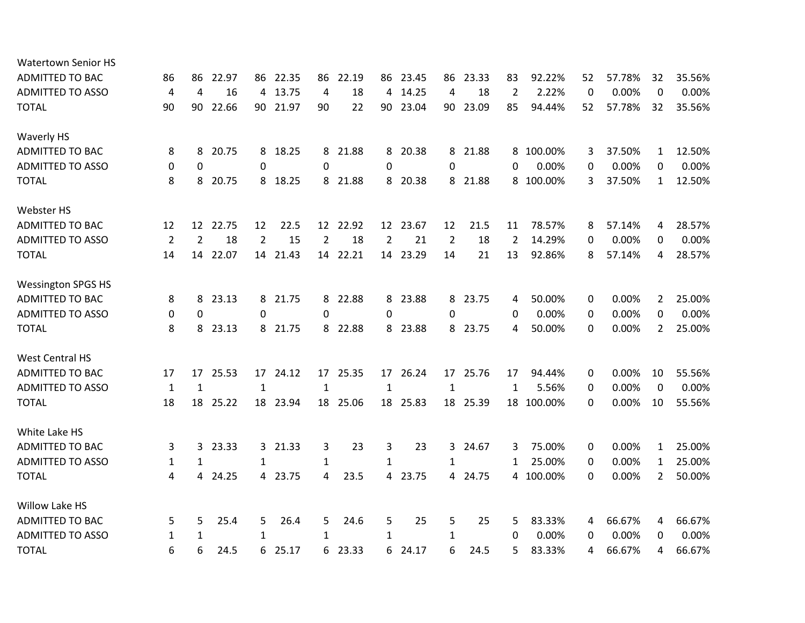| <b>Watertown Senior HS</b> |                |                |       |                |          |                |          |                |          |                |          |    |           |          |        |                |        |
|----------------------------|----------------|----------------|-------|----------------|----------|----------------|----------|----------------|----------|----------------|----------|----|-----------|----------|--------|----------------|--------|
| <b>ADMITTED TO BAC</b>     | 86             | 86             | 22.97 | 86             | 22.35    | 86             | 22.19    | 86             | 23.45    | 86             | 23.33    | 83 | 92.22%    | 52       | 57.78% | 32             | 35.56% |
| <b>ADMITTED TO ASSO</b>    | 4              | 4              | 16    |                | 4 13.75  | 4              | 18       | 4              | 14.25    | 4              | 18       | 2  | 2.22%     | $\Omega$ | 0.00%  | $\Omega$       | 0.00%  |
| <b>TOTAL</b>               | 90             | 90             | 22.66 |                | 90 21.97 | 90             | 22       | 90             | 23.04    | 90             | 23.09    | 85 | 94.44%    | 52       | 57.78% | 32             | 35.56% |
| <b>Waverly HS</b>          |                |                |       |                |          |                |          |                |          |                |          |    |           |          |        |                |        |
| <b>ADMITTED TO BAC</b>     | 8              | 8              | 20.75 |                | 8 18.25  | 8              | 21.88    |                | 8 20.38  | 8              | 21.88    |    | 8 100.00% | 3        | 37.50% | 1              | 12.50% |
| <b>ADMITTED TO ASSO</b>    | 0              | 0              |       | 0              |          | 0              |          | 0              |          | 0              |          | 0  | 0.00%     | 0        | 0.00%  | 0              | 0.00%  |
| <b>TOTAL</b>               | 8              | 8              | 20.75 |                | 8 18.25  | 8              | 21.88    |                | 8 20.38  | 8              | 21.88    |    | 8 100.00% | 3        | 37.50% | $\mathbf{1}$   | 12.50% |
| Webster HS                 |                |                |       |                |          |                |          |                |          |                |          |    |           |          |        |                |        |
| <b>ADMITTED TO BAC</b>     | 12             | 12             | 22.75 | 12             | 22.5     | 12             | 22.92    | 12             | 23.67    | 12             | 21.5     | 11 | 78.57%    | 8        | 57.14% | 4              | 28.57% |
| <b>ADMITTED TO ASSO</b>    | $\overline{2}$ | $\overline{2}$ | 18    | $\overline{2}$ | 15       | $\overline{2}$ | 18       | $\overline{2}$ | 21       | $\overline{2}$ | 18       | 2  | 14.29%    | 0        | 0.00%  | 0              | 0.00%  |
| <b>TOTAL</b>               | 14             | 14             | 22.07 |                | 14 21.43 |                | 14 22.21 |                | 14 23.29 | 14             | 21       | 13 | 92.86%    | 8        | 57.14% | 4              | 28.57% |
| <b>Wessington SPGS HS</b>  |                |                |       |                |          |                |          |                |          |                |          |    |           |          |        |                |        |
| <b>ADMITTED TO BAC</b>     | 8              | 8              | 23.13 | 8              | 21.75    | 8              | 22.88    | 8              | 23.88    | 8              | 23.75    | 4  | 50.00%    | 0        | 0.00%  | 2              | 25.00% |
| <b>ADMITTED TO ASSO</b>    | 0              | 0              |       | 0              |          | 0              |          | $\Omega$       |          | 0              |          | 0  | 0.00%     | 0        | 0.00%  | 0              | 0.00%  |
| <b>TOTAL</b>               | 8              | 8              | 23.13 |                | 8 21.75  | 8              | 22.88    |                | 8 23.88  | 8              | 23.75    | 4  | 50.00%    | 0        | 0.00%  | $\overline{2}$ | 25.00% |
| <b>West Central HS</b>     |                |                |       |                |          |                |          |                |          |                |          |    |           |          |        |                |        |
| <b>ADMITTED TO BAC</b>     | 17             | 17             | 25.53 |                | 17 24.12 | 17             | 25.35    |                | 17 26.24 |                | 17 25.76 | 17 | 94.44%    | 0        | 0.00%  | 10             | 55.56% |
| <b>ADMITTED TO ASSO</b>    | $\mathbf{1}$   | 1              |       | 1              |          | 1              |          | $\mathbf{1}$   |          | $\mathbf{1}$   |          | 1  | 5.56%     | 0        | 0.00%  | 0              | 0.00%  |
| <b>TOTAL</b>               | 18             | 18             | 25.22 |                | 18 23.94 | 18             | 25.06    |                | 18 25.83 | 18             | 25.39    | 18 | 100.00%   | 0        | 0.00%  | 10             | 55.56% |
| White Lake HS              |                |                |       |                |          |                |          |                |          |                |          |    |           |          |        |                |        |
| <b>ADMITTED TO BAC</b>     | 3              | 3              | 23.33 |                | 3 21.33  | 3              | 23       | 3              | 23       | 3              | 24.67    | 3  | 75.00%    | 0        | 0.00%  | $\mathbf{1}$   | 25.00% |
| <b>ADMITTED TO ASSO</b>    | 1              | 1              |       | 1              |          | 1              |          | $\mathbf{1}$   |          | 1              |          | 1  | 25.00%    | 0        | 0.00%  | $\mathbf{1}$   | 25.00% |
| <b>TOTAL</b>               | 4              | 4              | 24.25 |                | 4 23.75  | 4              | 23.5     |                | 4 23.75  | 4              | 24.75    | 4  | 100.00%   | 0        | 0.00%  | $\overline{2}$ | 50.00% |
| Willow Lake HS             |                |                |       |                |          |                |          |                |          |                |          |    |           |          |        |                |        |
| <b>ADMITTED TO BAC</b>     | 5              | 5              | 25.4  | 5              | 26.4     | 5              | 24.6     | 5              | 25       | 5              | 25       | 5  | 83.33%    | 4        | 66.67% | 4              | 66.67% |
| ADMITTED TO ASSO           | 1              | 1              |       | 1              |          | 1              |          | 1              |          | 1              |          | 0  | 0.00%     | 0        | 0.00%  | 0              | 0.00%  |
| <b>TOTAL</b>               | 6              | 6              | 24.5  | 6              | 25.17    | 6              | 23.33    | 6              | 24.17    | 6              | 24.5     | 5  | 83.33%    | 4        | 66.67% | 4              | 66.67% |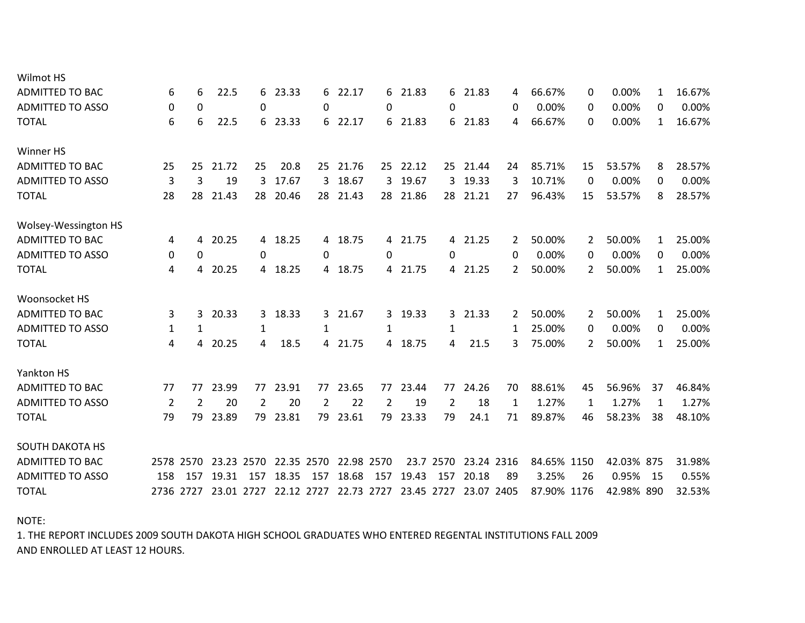| Wilmot HS               |                |           |            |     |            |     |            |            |            |           |            |              |             |    |            |              |        |
|-------------------------|----------------|-----------|------------|-----|------------|-----|------------|------------|------------|-----------|------------|--------------|-------------|----|------------|--------------|--------|
| <b>ADMITTED TO BAC</b>  | 6              | 6         | 22.5       |     | 6 23.33    | 6   | 22.17      |            | 6 21.83    |           | 6 21.83    | 4            | 66.67%      | 0  | 0.00%      | 1            | 16.67% |
| <b>ADMITTED TO ASSO</b> | 0              | 0         |            | 0   |            | 0   |            | 0          |            | 0         |            | 0            | 0.00%       | 0  | 0.00%      | 0            | 0.00%  |
| <b>TOTAL</b>            | 6              | 6         | 22.5       |     | 6 23.33    | 6   | 22.17      |            | 6 21.83    |           | 6 21.83    | 4            | 66.67%      | 0  | 0.00%      | $\mathbf{1}$ | 16.67% |
| Winner HS               |                |           |            |     |            |     |            |            |            |           |            |              |             |    |            |              |        |
| ADMITTED TO BAC         | 25             | 25        | 21.72      | 25  | 20.8       |     | 25 21.76   |            | 25 22.12   |           | 25 21.44   | 24           | 85.71%      | 15 | 53.57%     | 8            | 28.57% |
| <b>ADMITTED TO ASSO</b> | 3              | 3         | 19         | 3   | 17.67      | 3   | 18.67      | 3          | 19.67      | 3         | 19.33      | 3            | 10.71%      | 0  | 0.00%      | 0            | 0.00%  |
| <b>TOTAL</b>            | 28             | 28        | 21.43      |     | 28 20.46   |     | 28 21.43   |            | 28 21.86   |           | 28 21.21   | 27           | 96.43%      | 15 | 53.57%     | 8            | 28.57% |
| Wolsey-Wessington HS    |                |           |            |     |            |     |            |            |            |           |            |              |             |    |            |              |        |
| <b>ADMITTED TO BAC</b>  | 4              | 4         | 20.25      |     | 4 18.25    | 4   | 18.75      |            | 4 21.75    |           | 4 21.25    | 2            | 50.00%      | 2  | 50.00%     | 1            | 25.00% |
| <b>ADMITTED TO ASSO</b> | 0              | 0         |            | 0   |            | 0   |            | 0          |            | 0         |            | 0            | 0.00%       | 0  | 0.00%      | 0            | 0.00%  |
| <b>TOTAL</b>            | 4              | 4         | 20.25      |     | 4 18.25    | 4   | 18.75      |            | 4 21.75    |           | 4 21.25    | 2            | 50.00%      | 2  | 50.00%     | $\mathbf{1}$ | 25.00% |
| Woonsocket HS           |                |           |            |     |            |     |            |            |            |           |            |              |             |    |            |              |        |
| <b>ADMITTED TO BAC</b>  | 3              | 3         | 20.33      | 3   | 18.33      | 3   | 21.67      | 3          | 19.33      | 3         | 21.33      | 2            | 50.00%      | 2  | 50.00%     | 1            | 25.00% |
| <b>ADMITTED TO ASSO</b> | 1              | 1         |            | 1   |            | 1   |            | 1          |            | 1         |            | 1            | 25.00%      | 0  | 0.00%      | 0            | 0.00%  |
| <b>TOTAL</b>            | 4              | 4         | 20.25      | 4   | 18.5       | 4   | 21.75      |            | 4 18.75    | 4         | 21.5       | 3            | 75.00%      |    | 50.00%     | $\mathbf{1}$ | 25.00% |
| <b>Yankton HS</b>       |                |           |            |     |            |     |            |            |            |           |            |              |             |    |            |              |        |
| <b>ADMITTED TO BAC</b>  | 77             | 77        | 23.99      | 77  | 23.91      | 77  | 23.65      | 77         | 23.44      | 77        | 24.26      | 70           | 88.61%      | 45 | 56.96%     | 37           | 46.84% |
| <b>ADMITTED TO ASSO</b> | $\overline{2}$ | 2         | 20         | 2   | 20         | 2   | 22         | 2          | 19         | 2         | 18         | $\mathbf{1}$ | 1.27%       | 1  | 1.27%      | 1            | 1.27%  |
| <b>TOTAL</b>            | 79             | 79        | 23.89      | 79  | 23.81      | 79  | 23.61      | 79         | 23.33      | 79        | 24.1       | 71           | 89.87%      | 46 | 58.23%     | 38           | 48.10% |
| <b>SOUTH DAKOTA HS</b>  |                |           |            |     |            |     |            |            |            |           |            |              |             |    |            |              |        |
| <b>ADMITTED TO BAC</b>  |                | 2578 2570 | 23.23 2570 |     | 22.35 2570 |     | 22.98 2570 |            |            | 23.7 2570 | 23.24 2316 |              | 84.65% 1150 |    | 42.03% 875 |              | 31.98% |
| <b>ADMITTED TO ASSO</b> | 158            | 157       | 19.31      | 157 | 18.35      | 157 | 18.68      | 157        | 19.43      | 157       | 20.18      | 89           | 3.25%       | 26 | 0.95%      | - 15         | 0.55%  |
| <b>TOTAL</b>            |                | 2736 2727 | 23.01 2727 |     | 22.12 2727 |     |            | 22.73 2727 | 23.45 2727 |           | 23.07 2405 |              | 87.90% 1176 |    | 42.98% 890 |              | 32.53% |
|                         |                |           |            |     |            |     |            |            |            |           |            |              |             |    |            |              |        |

NOTE:

AND ENROLLED AT LEAST 12 HOURS. 1. THE REPORT INCLUDES 2009 SOUTH DAKOTA HIGH SCHOOL GRADUATES WHO ENTERED REGENTAL INSTITUTIONS FALL 2009